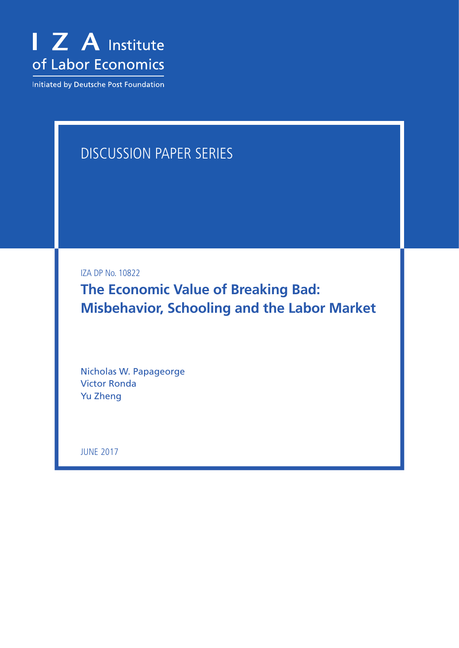

Initiated by Deutsche Post Foundation

# Discussion Paper Series

IZA DP No. 10822

**The Economic Value of Breaking Bad: Misbehavior, Schooling and the Labor Market**

Nicholas W. Papageorge Victor Ronda Yu Zheng

june 2017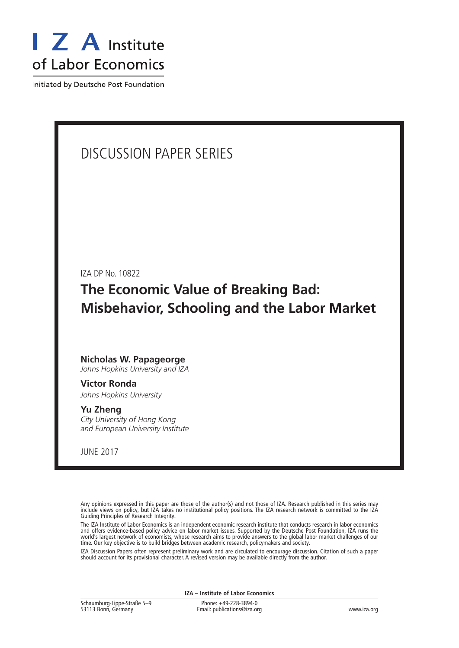

Initiated by Deutsche Post Foundation

# Discussion Paper Series

IZA DP No. 10822

**The Economic Value of Breaking Bad: Misbehavior, Schooling and the Labor Market**

#### **Nicholas W. Papageorge**

*Johns Hopkins University and IZA*

## **Victor Ronda**

*Johns Hopkins University*

#### **Yu Zheng**

*City University of Hong Kong and European University Institute*

june 2017

Any opinions expressed in this paper are those of the author(s) and not those of IZA. Research published in this series may include views on policy, but IZA takes no institutional policy positions. The IZA research network is committed to the IZA Guiding Principles of Research Integrity.

The IZA Institute of Labor Economics is an independent economic research institute that conducts research in labor economics and offers evidence-based policy advice on labor market issues. Supported by the Deutsche Post Foundation, IZA runs the world's largest network of economists, whose research aims to provide answers to the global labor market challenges of our time. Our key objective is to build bridges between academic research, policymakers and society.

IZA Discussion Papers often represent preliminary work and are circulated to encourage discussion. Citation of such a paper should account for its provisional character. A revised version may be available directly from the author.

|                                                    | IZA – Institute of Labor Economics                   |             |
|----------------------------------------------------|------------------------------------------------------|-------------|
| Schaumburg-Lippe-Straße 5–9<br>53113 Bonn, Germany | Phone: +49-228-3894-0<br>Email: publications@iza.org | www.iza.org |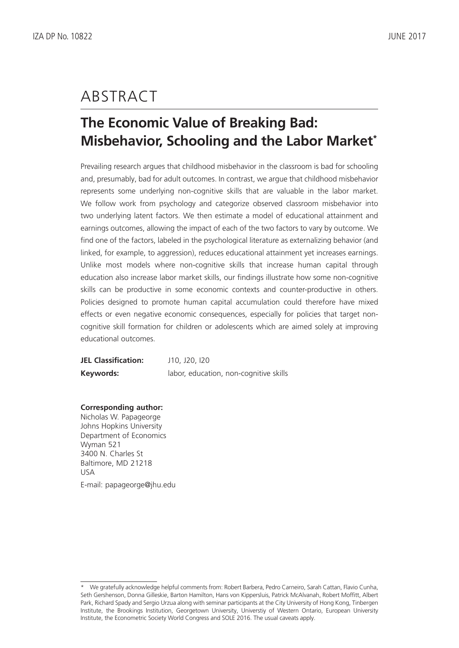# **ABSTRACT**

# **The Economic Value of Breaking Bad: Misbehavior, Schooling and the Labor Market\***

Prevailing research argues that childhood misbehavior in the classroom is bad for schooling and, presumably, bad for adult outcomes. In contrast, we argue that childhood misbehavior represents some underlying non-cognitive skills that are valuable in the labor market. We follow work from psychology and categorize observed classroom misbehavior into two underlying latent factors. We then estimate a model of educational attainment and earnings outcomes, allowing the impact of each of the two factors to vary by outcome. We find one of the factors, labeled in the psychological literature as externalizing behavior (and linked, for example, to aggression), reduces educational attainment yet increases earnings. Unlike most models where non-cognitive skills that increase human capital through education also increase labor market skills, our findings illustrate how some non-cognitive skills can be productive in some economic contexts and counter-productive in others. Policies designed to promote human capital accumulation could therefore have mixed effects or even negative economic consequences, especially for policies that target noncognitive skill formation for children or adolescents which are aimed solely at improving educational outcomes.

**JEL Classification:** J10, J20, I20 **Keywords:** labor, education, non-cognitive skills

**Corresponding author:**

Nicholas W. Papageorge Johns Hopkins University Department of Economics Wyman 521 3400 N. Charles St Baltimore, MD 21218 USA E-mail: papageorge@jhu.edu

<sup>\*</sup> We gratefully acknowledge helpful comments from: Robert Barbera, Pedro Carneiro, Sarah Cattan, Flavio Cunha, Seth Gershenson, Donna Gilleskie, Barton Hamilton, Hans von Kippersluis, Patrick McAlvanah, Robert Moffitt, Albert Park, Richard Spady and Sergio Urzua along with seminar participants at the City University of Hong Kong, Tinbergen Institute, the Brookings Institution, Georgetown University, Universtiy of Western Ontario, European University Institute, the Econometric Society World Congress and SOLE 2016. The usual caveats apply.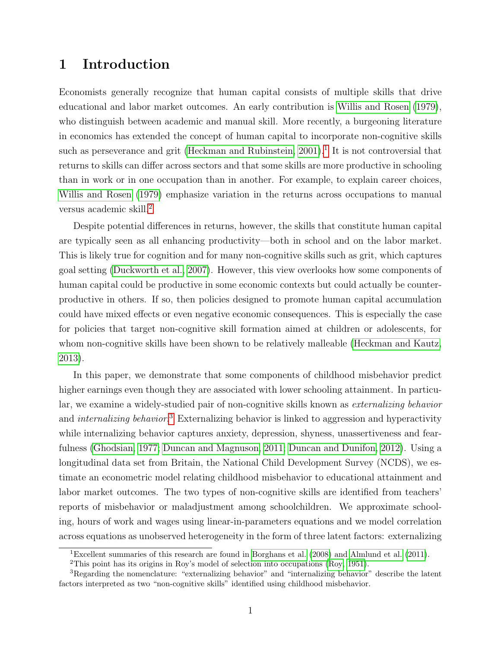## 1 Introduction

Economists generally recognize that human capital consists of multiple skills that drive educational and labor market outcomes. An early contribution is [Willis and Rosen](#page-34-0) [\(1979\)](#page-34-0), who distinguish between academic and manual skill. More recently, a burgeoning literature in economics has extended the concept of human capital to incorporate non-cognitive skills such as perseverance and grit (Heckman and Rubinstein,  $2001$  $2001$ ).<sup>1</sup> It is not controversial that returns to skills can differ across sectors and that some skills are more productive in schooling than in work or in one occupation than in another. For example, to explain career choices, [Willis and Rosen](#page-34-0) [\(1979\)](#page-34-0) emphasize variation in the returns across occupations to manual versus academic skill.[2](#page-3-1)

Despite potential differences in returns, however, the skills that constitute human capital are typically seen as all enhancing productivity—both in school and on the labor market. This is likely true for cognition and for many non-cognitive skills such as grit, which captures goal setting [\(Duckworth et al., 2007\)](#page-32-0). However, this view overlooks how some components of human capital could be productive in some economic contexts but could actually be counterproductive in others. If so, then policies designed to promote human capital accumulation could have mixed effects or even negative economic consequences. This is especially the case for policies that target non-cognitive skill formation aimed at children or adolescents, for whom non-cognitive skills have been shown to be relatively malleable [\(Heckman and Kautz,](#page-33-1) [2013\)](#page-33-1).

In this paper, we demonstrate that some components of childhood misbehavior predict higher earnings even though they are associated with lower schooling attainment. In particular, we examine a widely-studied pair of non-cognitive skills known as externalizing behavior and *internalizing behavior*.<sup>[3](#page-3-2)</sup> Externalizing behavior is linked to aggression and hyperactivity while internalizing behavior captures anxiety, depression, shyness, unassertiveness and fearfulness [\(Ghodsian, 1977;](#page-32-1) [Duncan and Magnuson, 2011;](#page-32-2) [Duncan and Dunifon, 2012\)](#page-32-3). Using a longitudinal data set from Britain, the National Child Development Survey (NCDS), we estimate an econometric model relating childhood misbehavior to educational attainment and labor market outcomes. The two types of non-cognitive skills are identified from teachers' reports of misbehavior or maladjustment among schoolchildren. We approximate schooling, hours of work and wages using linear-in-parameters equations and we model correlation across equations as unobserved heterogeneity in the form of three latent factors: externalizing

<span id="page-3-0"></span><sup>1</sup>Excellent summaries of this research are found in [Borghans et al.](#page-31-0) [\(2008\)](#page-31-0) and [Almlund et al.](#page-30-0) [\(2011\)](#page-30-0).

<span id="page-3-2"></span><span id="page-3-1"></span><sup>2</sup>This point has its origins in Roy's model of selection into occupations [\(Roy, 1951\)](#page-34-1).

<sup>3</sup>Regarding the nomenclature: "externalizing behavior" and "internalizing behavior" describe the latent factors interpreted as two "non-cognitive skills" identified using childhood misbehavior.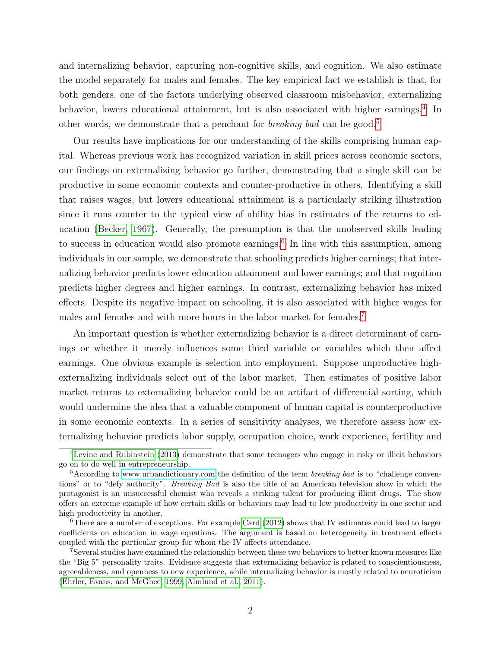and internalizing behavior, capturing non-cognitive skills, and cognition. We also estimate the model separately for males and females. The key empirical fact we establish is that, for both genders, one of the factors underlying observed classroom misbehavior, externalizing behavior, lowers educational attainment, but is also associated with higher earnings.<sup>[4](#page-4-0)</sup> In other words, we demonstrate that a penchant for *breaking bad* can be good.<sup>[5](#page-4-1)</sup>

Our results have implications for our understanding of the skills comprising human capital. Whereas previous work has recognized variation in skill prices across economic sectors, our findings on externalizing behavior go further, demonstrating that a single skill can be productive in some economic contexts and counter-productive in others. Identifying a skill that raises wages, but lowers educational attainment is a particularly striking illustration since it runs counter to the typical view of ability bias in estimates of the returns to education [\(Becker, 1967\)](#page-31-1). Generally, the presumption is that the unobserved skills leading to success in education would also promote earnings.<sup>[6](#page-4-2)</sup> In line with this assumption, among individuals in our sample, we demonstrate that schooling predicts higher earnings; that internalizing behavior predicts lower education attainment and lower earnings; and that cognition predicts higher degrees and higher earnings. In contrast, externalizing behavior has mixed effects. Despite its negative impact on schooling, it is also associated with higher wages for males and females and with more hours in the labor market for females.[7](#page-4-3)

An important question is whether externalizing behavior is a direct determinant of earnings or whether it merely influences some third variable or variables which then affect earnings. One obvious example is selection into employment. Suppose unproductive highexternalizing individuals select out of the labor market. Then estimates of positive labor market returns to externalizing behavior could be an artifact of differential sorting, which would undermine the idea that a valuable component of human capital is counterproductive in some economic contexts. In a series of sensitivity analyses, we therefore assess how externalizing behavior predicts labor supply, occupation choice, work experience, fertility and

<span id="page-4-0"></span><sup>4</sup>[Levine and Rubinstein](#page-33-2) [\(2013\)](#page-33-2) demonstrate that some teenagers who engage in risky or illicit behaviors go on to do well in entrepreneurship.

<span id="page-4-1"></span> $5$ According to [www.urbandictionary.com](http://www.urbandictionary.com) the definition of the term *breaking bad* is to "challenge conventions" or to "defy authority". *Breaking Bad* is also the title of an American television show in which the protagonist is an unsuccessful chemist who reveals a striking talent for producing illicit drugs. The show offers an extreme example of how certain skills or behaviors may lead to low productivity in one sector and high productivity in another.

<span id="page-4-2"></span> $6$ There are a number of exceptions. For example [Card](#page-31-2) [\(2012\)](#page-31-2) shows that IV estimates could lead to larger coefficients on education in wage equations. The argument is based on heterogeneity in treatment effects coupled with the particular group for whom the IV affects attendance.

<span id="page-4-3"></span><sup>7</sup>Several studies have examined the relationship between these two behaviors to better known measures like the "Big 5" personality traits. Evidence suggests that externalizing behavior is related to conscientiousness, agreeableness, and openness to new experience, while internalizing behavior is mostly related to neuroticism [\(Ehrler, Evans, and McGhee, 1999;](#page-32-4) [Almlund et al., 2011\)](#page-30-0).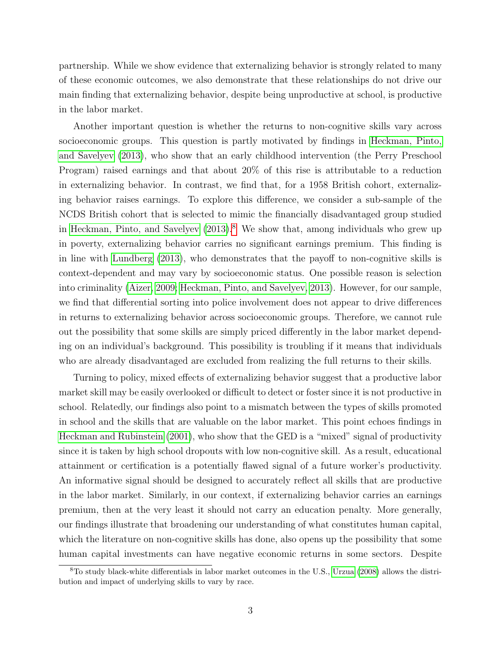partnership. While we show evidence that externalizing behavior is strongly related to many of these economic outcomes, we also demonstrate that these relationships do not drive our main finding that externalizing behavior, despite being unproductive at school, is productive in the labor market.

Another important question is whether the returns to non-cognitive skills vary across socioeconomic groups. This question is partly motivated by findings in [Heckman, Pinto,](#page-33-3) [and Savelyev](#page-33-3) [\(2013\)](#page-33-3), who show that an early childhood intervention (the Perry Preschool Program) raised earnings and that about 20% of this rise is attributable to a reduction in externalizing behavior. In contrast, we find that, for a 1958 British cohort, externalizing behavior raises earnings. To explore this difference, we consider a sub-sample of the NCDS British cohort that is selected to mimic the financially disadvantaged group studied in [Heckman, Pinto, and Savelyev](#page-33-3)  $(2013)^8$  $(2013)^8$  $(2013)^8$ . We show that, among individuals who grew up in poverty, externalizing behavior carries no significant earnings premium. This finding is in line with [Lundberg](#page-34-2) [\(2013\)](#page-34-2), who demonstrates that the payoff to non-cognitive skills is context-dependent and may vary by socioeconomic status. One possible reason is selection into criminality [\(Aizer, 2009;](#page-30-1) [Heckman, Pinto, and Savelyev, 2013\)](#page-33-3). However, for our sample, we find that differential sorting into police involvement does not appear to drive differences in returns to externalizing behavior across socioeconomic groups. Therefore, we cannot rule out the possibility that some skills are simply priced differently in the labor market depending on an individual's background. This possibility is troubling if it means that individuals who are already disadvantaged are excluded from realizing the full returns to their skills.

Turning to policy, mixed effects of externalizing behavior suggest that a productive labor market skill may be easily overlooked or difficult to detect or foster since it is not productive in school. Relatedly, our findings also point to a mismatch between the types of skills promoted in school and the skills that are valuable on the labor market. This point echoes findings in [Heckman and Rubinstein](#page-33-0) [\(2001\)](#page-33-0), who show that the GED is a "mixed" signal of productivity since it is taken by high school dropouts with low non-cognitive skill. As a result, educational attainment or certification is a potentially flawed signal of a future worker's productivity. An informative signal should be designed to accurately reflect all skills that are productive in the labor market. Similarly, in our context, if externalizing behavior carries an earnings premium, then at the very least it should not carry an education penalty. More generally, our findings illustrate that broadening our understanding of what constitutes human capital, which the literature on non-cognitive skills has done, also opens up the possibility that some human capital investments can have negative economic returns in some sectors. Despite

<span id="page-5-0"></span><sup>8</sup>To study black-white differentials in labor market outcomes in the U.S., [Urzua](#page-34-3) [\(2008\)](#page-34-3) allows the distribution and impact of underlying skills to vary by race.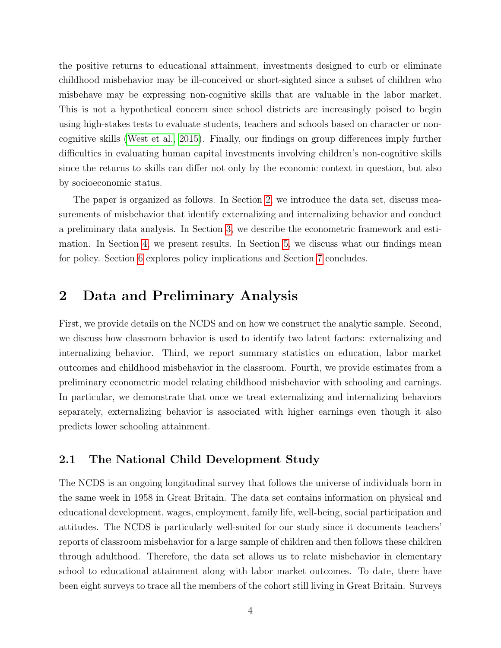the positive returns to educational attainment, investments designed to curb or eliminate childhood misbehavior may be ill-conceived or short-sighted since a subset of children who misbehave may be expressing non-cognitive skills that are valuable in the labor market. This is not a hypothetical concern since school districts are increasingly poised to begin using high-stakes tests to evaluate students, teachers and schools based on character or noncognitive skills [\(West et al., 2015\)](#page-34-4). Finally, our findings on group differences imply further difficulties in evaluating human capital investments involving children's non-cognitive skills since the returns to skills can differ not only by the economic context in question, but also by socioeconomic status.

The paper is organized as follows. In Section [2,](#page-6-0) we introduce the data set, discuss measurements of misbehavior that identify externalizing and internalizing behavior and conduct a preliminary data analysis. In Section [3,](#page-14-0) we describe the econometric framework and estimation. In Section [4,](#page-18-0) we present results. In Section [5,](#page-21-0) we discuss what our findings mean for policy. Section [6](#page-28-0) explores policy implications and Section [7](#page-29-0) concludes.

## <span id="page-6-0"></span>2 Data and Preliminary Analysis

First, we provide details on the NCDS and on how we construct the analytic sample. Second, we discuss how classroom behavior is used to identify two latent factors: externalizing and internalizing behavior. Third, we report summary statistics on education, labor market outcomes and childhood misbehavior in the classroom. Fourth, we provide estimates from a preliminary econometric model relating childhood misbehavior with schooling and earnings. In particular, we demonstrate that once we treat externalizing and internalizing behaviors separately, externalizing behavior is associated with higher earnings even though it also predicts lower schooling attainment.

#### 2.1 The National Child Development Study

The NCDS is an ongoing longitudinal survey that follows the universe of individuals born in the same week in 1958 in Great Britain. The data set contains information on physical and educational development, wages, employment, family life, well-being, social participation and attitudes. The NCDS is particularly well-suited for our study since it documents teachers' reports of classroom misbehavior for a large sample of children and then follows these children through adulthood. Therefore, the data set allows us to relate misbehavior in elementary school to educational attainment along with labor market outcomes. To date, there have been eight surveys to trace all the members of the cohort still living in Great Britain. Surveys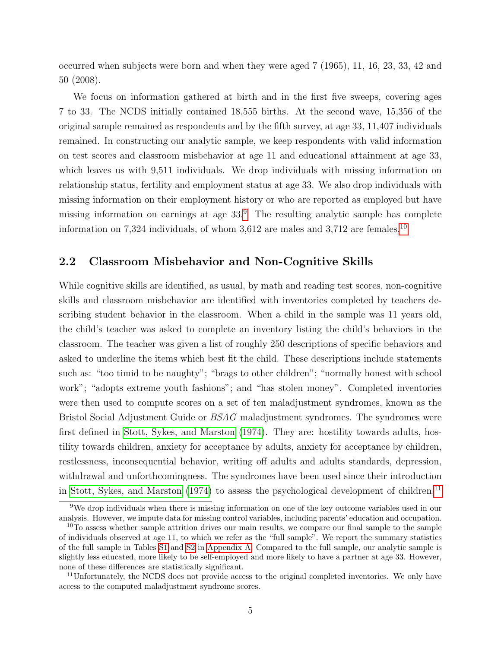occurred when subjects were born and when they were aged 7 (1965), 11, 16, 23, 33, 42 and 50 (2008).

We focus on information gathered at birth and in the first five sweeps, covering ages 7 to 33. The NCDS initially contained 18,555 births. At the second wave, 15,356 of the original sample remained as respondents and by the fifth survey, at age 33, 11,407 individuals remained. In constructing our analytic sample, we keep respondents with valid information on test scores and classroom misbehavior at age 11 and educational attainment at age 33, which leaves us with 9,511 individuals. We drop individuals with missing information on relationship status, fertility and employment status at age 33. We also drop individuals with missing information on their employment history or who are reported as employed but have missing information on earnings at age  $33<sup>9</sup>$  $33<sup>9</sup>$  $33<sup>9</sup>$ . The resulting analytic sample has complete information on 7,324 individuals, of whom  $3,612$  are males and  $3,712$  are females.<sup>[10](#page-7-1)</sup>

### 2.2 Classroom Misbehavior and Non-Cognitive Skills

While cognitive skills are identified, as usual, by math and reading test scores, non-cognitive skills and classroom misbehavior are identified with inventories completed by teachers describing student behavior in the classroom. When a child in the sample was 11 years old, the child's teacher was asked to complete an inventory listing the child's behaviors in the classroom. The teacher was given a list of roughly 250 descriptions of specific behaviors and asked to underline the items which best fit the child. These descriptions include statements such as: "too timid to be naughty"; "brags to other children"; "normally honest with school work"; "adopts extreme youth fashions"; and "has stolen money". Completed inventories were then used to compute scores on a set of ten maladjustment syndromes, known as the Bristol Social Adjustment Guide or BSAG maladjustment syndromes. The syndromes were first defined in [Stott, Sykes, and Marston](#page-34-5) [\(1974\)](#page-34-5). They are: hostility towards adults, hostility towards children, anxiety for acceptance by adults, anxiety for acceptance by children, restlessness, inconsequential behavior, writing off adults and adults standards, depression, withdrawal and unforthcomingness. The syndromes have been used since their introduction in [Stott, Sykes, and Marston](#page-34-5)  $(1974)$  to assess the psychological development of children.<sup>[11](#page-7-2)</sup>

<span id="page-7-0"></span><sup>9</sup>We drop individuals when there is missing information on one of the key outcome variables used in our analysis. However, we impute data for missing control variables, including parents' education and occupation.

<span id="page-7-1"></span> $10$ To assess whether sample attrition drives our main results, we compare our final sample to the sample of individuals observed at age 11, to which we refer as the "full sample". We report the summary statistics of the full sample in Tables [S1](#page-36-0) and [S2](#page-37-0) in [Appendix A.](#page--1-0) Compared to the full sample, our analytic sample is slightly less educated, more likely to be self-employed and more likely to have a partner at age 33. However, none of these differences are statistically significant.

<span id="page-7-2"></span> $11$ Unfortunately, the NCDS does not provide access to the original completed inventories. We only have access to the computed maladjustment syndrome scores.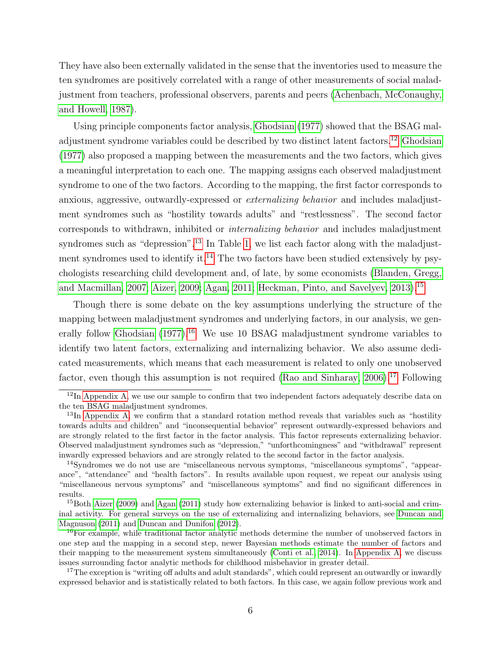They have also been externally validated in the sense that the inventories used to measure the ten syndromes are positively correlated with a range of other measurements of social maladjustment from teachers, professional observers, parents and peers [\(Achenbach, McConaughy,](#page-30-2) [and Howell, 1987\)](#page-30-2).

Using principle components factor analysis, [Ghodsian](#page-32-1) [\(1977\)](#page-32-1) showed that the BSAG maladjustment syndrome variables could be described by two distinct latent factors.[12](#page-8-0) [Ghodsian](#page-32-1) [\(1977\)](#page-32-1) also proposed a mapping between the measurements and the two factors, which gives a meaningful interpretation to each one. The mapping assigns each observed maladjustment syndrome to one of the two factors. According to the mapping, the first factor corresponds to anxious, aggressive, outwardly-expressed or externalizing behavior and includes maladjustment syndromes such as "hostility towards adults" and "restlessness". The second factor corresponds to withdrawn, inhibited or internalizing behavior and includes maladjustment syndromes such as "depression".<sup>[13](#page-8-1)</sup> In Table [1,](#page-36-0) we list each factor along with the maladjust-ment syndromes used to identify it.<sup>[14](#page-8-2)</sup> The two factors have been studied extensively by psychologists researching child development and, of late, by some economists [\(Blanden, Gregg,](#page-31-3) [and Macmillan, 2007;](#page-31-3) [Aizer, 2009;](#page-30-1) [Agan, 2011;](#page-30-3) [Heckman, Pinto, and Savelyev, 2013\)](#page-33-3).[15](#page-8-3)

Though there is some debate on the key assumptions underlying the structure of the mapping between maladjustment syndromes and underlying factors, in our analysis, we gen-erally follow [Ghodsian](#page-32-1)  $(1977)^{16}$  $(1977)^{16}$  $(1977)^{16}$  $(1977)^{16}$  We use 10 BSAG maladjustment syndrome variables to identify two latent factors, externalizing and internalizing behavior. We also assume dedicated measurements, which means that each measurement is related to only one unobserved factor, even though this assumption is not required (Rao and Sinharay,  $2006$ ).<sup>[17](#page-8-5)</sup> Following

<span id="page-8-0"></span> $12\text{In Appendix A, we use our sample to confirm that two independent factors adequately describe data on.}$  $12\text{In Appendix A, we use our sample to confirm that two independent factors adequately describe data on.}$  $12\text{In Appendix A, we use our sample to confirm that two independent factors adequately describe data on.}$ the ten BSAG maladjustment syndromes.

<span id="page-8-1"></span> $13$ In [Appendix A,](#page--1-0) we confirm that a standard rotation method reveals that variables such as "hostility" towards adults and children" and "inconsequential behavior" represent outwardly-expressed behaviors and are strongly related to the first factor in the factor analysis. This factor represents externalizing behavior. Observed maladjustment syndromes such as "depression," "unforthcomingness" and "withdrawal" represent inwardly expressed behaviors and are strongly related to the second factor in the factor analysis.

<span id="page-8-2"></span><sup>&</sup>lt;sup>14</sup>Syndromes we do not use are "miscellaneous nervous symptoms, "miscellaneous symptoms", "appearance", "attendance" and "health factors". In results available upon request, we repeat our analysis using "miscellaneous nervous symptoms" and "miscellaneous symptoms" and find no significant differences in results.

<span id="page-8-3"></span><sup>&</sup>lt;sup>15</sup>Both [Aizer](#page-30-1) [\(2009\)](#page-30-1) and [Agan](#page-30-3) [\(2011\)](#page-30-3) study how externalizing behavior is linked to anti-social and criminal activity. For general surveys on the use of externalizing and internalizing behaviors, see [Duncan and](#page-32-2) [Magnuson](#page-32-2) [\(2011\)](#page-32-2) and [Duncan and Dunifon](#page-32-3) [\(2012\)](#page-32-3).

<span id="page-8-4"></span><sup>&</sup>lt;sup>16</sup>For example, while traditional factor analytic methods determine the number of unobserved factors in one step and the mapping in a second step, newer Bayesian methods estimate the number of factors and their mapping to the measurement system simultaneously [\(Conti et al., 2014\)](#page-31-4). In [Appendix A,](#page--1-0) we discuss issues surrounding factor analytic methods for childhood misbehavior in greater detail.

<span id="page-8-5"></span><sup>&</sup>lt;sup>17</sup>The exception is "writing off adults and adult standards", which could represent an outwardly or inwardly expressed behavior and is statistically related to both factors. In this case, we again follow previous work and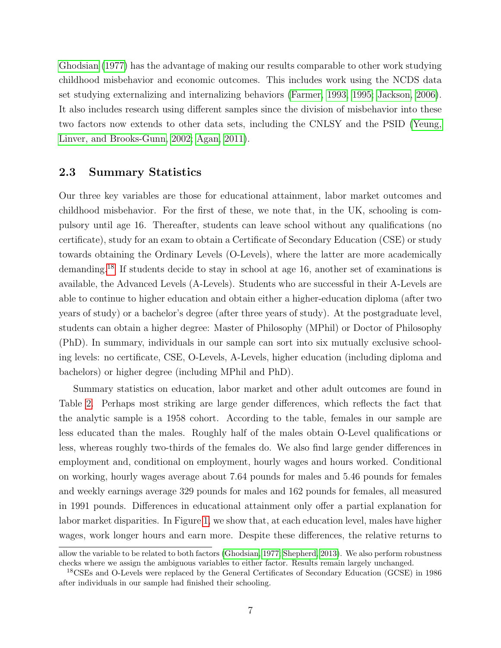[Ghodsian](#page-32-1) [\(1977\)](#page-32-1) has the advantage of making our results comparable to other work studying childhood misbehavior and economic outcomes. This includes work using the NCDS data set studying externalizing and internalizing behaviors [\(Farmer, 1993,](#page-32-5) [1995;](#page-32-6) [Jackson, 2006\)](#page-33-4). It also includes research using different samples since the division of misbehavior into these two factors now extends to other data sets, including the CNLSY and the PSID [\(Yeung,](#page-35-0) [Linver, and Brooks-Gunn, 2002;](#page-35-0) [Agan, 2011\)](#page-30-3).

### 2.3 Summary Statistics

Our three key variables are those for educational attainment, labor market outcomes and childhood misbehavior. For the first of these, we note that, in the UK, schooling is compulsory until age 16. Thereafter, students can leave school without any qualifications (no certificate), study for an exam to obtain a Certificate of Secondary Education (CSE) or study towards obtaining the Ordinary Levels (O-Levels), where the latter are more academically demanding.[18](#page-9-0) If students decide to stay in school at age 16, another set of examinations is available, the Advanced Levels (A-Levels). Students who are successful in their A-Levels are able to continue to higher education and obtain either a higher-education diploma (after two years of study) or a bachelor's degree (after three years of study). At the postgraduate level, students can obtain a higher degree: Master of Philosophy (MPhil) or Doctor of Philosophy (PhD). In summary, individuals in our sample can sort into six mutually exclusive schooling levels: no certificate, CSE, O-Levels, A-Levels, higher education (including diploma and bachelors) or higher degree (including MPhil and PhD).

Summary statistics on education, labor market and other adult outcomes are found in Table [2.](#page-37-0) Perhaps most striking are large gender differences, which reflects the fact that the analytic sample is a 1958 cohort. According to the table, females in our sample are less educated than the males. Roughly half of the males obtain O-Level qualifications or less, whereas roughly two-thirds of the females do. We also find large gender differences in employment and, conditional on employment, hourly wages and hours worked. Conditional on working, hourly wages average about 7.64 pounds for males and 5.46 pounds for females and weekly earnings average 329 pounds for males and 162 pounds for females, all measured in 1991 pounds. Differences in educational attainment only offer a partial explanation for labor market disparities. In Figure [1,](#page-55-0) we show that, at each education level, males have higher wages, work longer hours and earn more. Despite these differences, the relative returns to

allow the variable to be related to both factors [\(Ghodsian, 1977;](#page-32-1) [Shepherd, 2013\)](#page-34-7). We also perform robustness checks where we assign the ambiguous variables to either factor. Results remain largely unchanged.

<span id="page-9-0"></span><sup>18</sup>CSEs and O-Levels were replaced by the General Certificates of Secondary Education (GCSE) in 1986 after individuals in our sample had finished their schooling.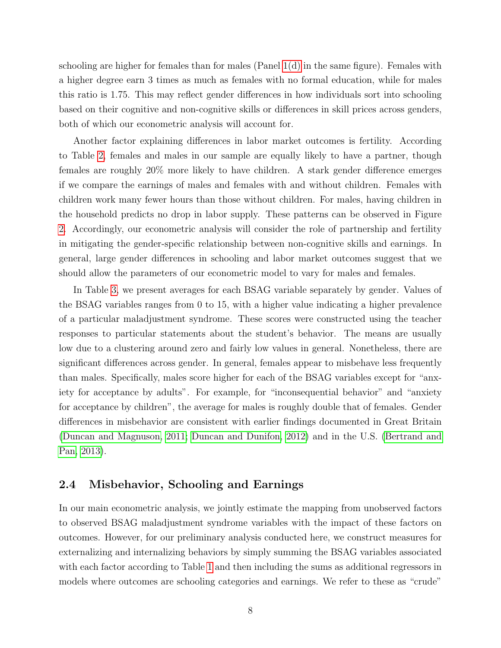schooling are higher for females than for males (Panel [1\(d\)](#page-55-1) in the same figure). Females with a higher degree earn 3 times as much as females with no formal education, while for males this ratio is 1.75. This may reflect gender differences in how individuals sort into schooling based on their cognitive and non-cognitive skills or differences in skill prices across genders, both of which our econometric analysis will account for.

Another factor explaining differences in labor market outcomes is fertility. According to Table [2,](#page-37-0) females and males in our sample are equally likely to have a partner, though females are roughly 20% more likely to have children. A stark gender difference emerges if we compare the earnings of males and females with and without children. Females with children work many fewer hours than those without children. For males, having children in the household predicts no drop in labor supply. These patterns can be observed in Figure [2.](#page-56-0) Accordingly, our econometric analysis will consider the role of partnership and fertility in mitigating the gender-specific relationship between non-cognitive skills and earnings. In general, large gender differences in schooling and labor market outcomes suggest that we should allow the parameters of our econometric model to vary for males and females.

In Table [3,](#page-38-0) we present averages for each BSAG variable separately by gender. Values of the BSAG variables ranges from 0 to 15, with a higher value indicating a higher prevalence of a particular maladjustment syndrome. These scores were constructed using the teacher responses to particular statements about the student's behavior. The means are usually low due to a clustering around zero and fairly low values in general. Nonetheless, there are significant differences across gender. In general, females appear to misbehave less frequently than males. Specifically, males score higher for each of the BSAG variables except for "anxiety for acceptance by adults". For example, for "inconsequential behavior" and "anxiety for acceptance by children", the average for males is roughly double that of females. Gender differences in misbehavior are consistent with earlier findings documented in Great Britain [\(Duncan and Magnuson, 2011;](#page-32-2) [Duncan and Dunifon, 2012\)](#page-32-3) and in the U.S. [\(Bertrand and](#page-31-5) [Pan, 2013\)](#page-31-5).

#### 2.4 Misbehavior, Schooling and Earnings

In our main econometric analysis, we jointly estimate the mapping from unobserved factors to observed BSAG maladjustment syndrome variables with the impact of these factors on outcomes. However, for our preliminary analysis conducted here, we construct measures for externalizing and internalizing behaviors by simply summing the BSAG variables associated with each factor according to Table [1](#page-36-0) and then including the sums as additional regressors in models where outcomes are schooling categories and earnings. We refer to these as "crude"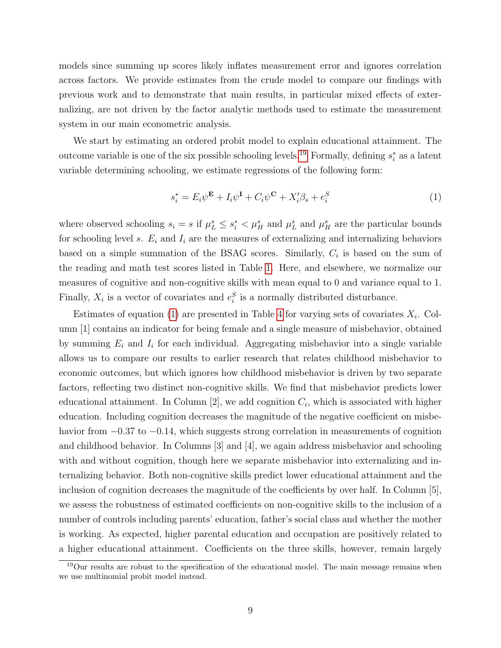models since summing up scores likely inflates measurement error and ignores correlation across factors. We provide estimates from the crude model to compare our findings with previous work and to demonstrate that main results, in particular mixed effects of externalizing, are not driven by the factor analytic methods used to estimate the measurement system in our main econometric analysis.

We start by estimating an ordered probit model to explain educational attainment. The outcome variable is one of the six possible schooling levels.<sup>[19](#page-11-0)</sup> Formally, defining  $s_i^*$  as a latent variable determining schooling, we estimate regressions of the following form:

<span id="page-11-1"></span>
$$
s_i^* = E_i \psi^{\mathbf{E}} + I_i \psi^{\mathbf{I}} + C_i \psi^{\mathbf{C}} + X_i' \beta_s + e_i^S \tag{1}
$$

where observed schooling  $s_i = s$  if  $\mu_L^s \leq s_i^* < \mu_H^s$  and  $\mu_L^s$  and  $\mu_H^s$  are the particular bounds for schooling level s.  $E_i$  and  $I_i$  are the measures of externalizing and internalizing behaviors based on a simple summation of the BSAG scores. Similarly,  $C_i$  is based on the sum of the reading and math test scores listed in Table [1.](#page-36-0) Here, and elsewhere, we normalize our measures of cognitive and non-cognitive skills with mean equal to 0 and variance equal to 1. Finally,  $X_i$  is a vector of covariates and  $e_i^S$  is a normally distributed disturbance.

Estimates of equation [\(1\)](#page-11-1) are presented in Table [4](#page-39-0) for varying sets of covariates  $X_i$ . Column [1] contains an indicator for being female and a single measure of misbehavior, obtained by summing  $E_i$  and  $I_i$  for each individual. Aggregating misbehavior into a single variable allows us to compare our results to earlier research that relates childhood misbehavior to economic outcomes, but which ignores how childhood misbehavior is driven by two separate factors, reflecting two distinct non-cognitive skills. We find that misbehavior predicts lower educational attainment. In Column  $[2]$ , we add cognition  $C_i$ , which is associated with higher education. Including cognition decreases the magnitude of the negative coefficient on misbehavior from −0.37 to −0.14, which suggests strong correlation in measurements of cognition and childhood behavior. In Columns [3] and [4], we again address misbehavior and schooling with and without cognition, though here we separate misbehavior into externalizing and internalizing behavior. Both non-cognitive skills predict lower educational attainment and the inclusion of cognition decreases the magnitude of the coefficients by over half. In Column [5], we assess the robustness of estimated coefficients on non-cognitive skills to the inclusion of a number of controls including parents' education, father's social class and whether the mother is working. As expected, higher parental education and occupation are positively related to a higher educational attainment. Coefficients on the three skills, however, remain largely

<span id="page-11-0"></span> $19$ Our results are robust to the specification of the educational model. The main message remains when we use multinomial probit model instead.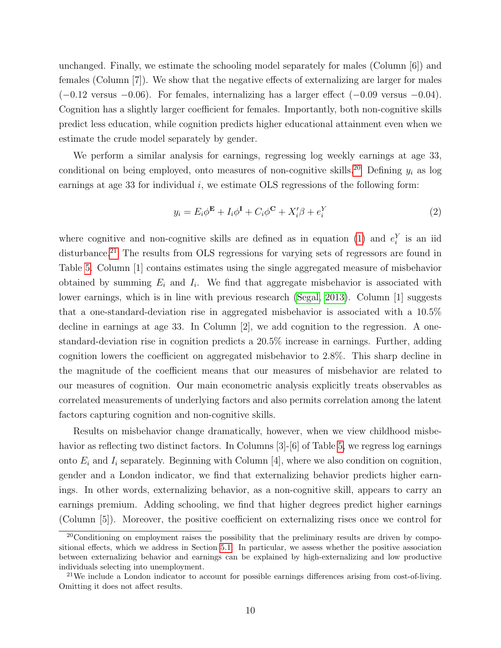unchanged. Finally, we estimate the schooling model separately for males (Column [6]) and females (Column [7]). We show that the negative effects of externalizing are larger for males  $(-0.12 \text{ versus } -0.06)$ . For females, internalizing has a larger effect  $(-0.09 \text{ versus } -0.04)$ . Cognition has a slightly larger coefficient for females. Importantly, both non-cognitive skills predict less education, while cognition predicts higher educational attainment even when we estimate the crude model separately by gender.

We perform a similar analysis for earnings, regressing log weekly earnings at age 33, conditional on being employed, onto measures of non-cognitive skills.<sup>[20](#page-12-0)</sup> Defining  $y_i$  as log earnings at age 33 for individual  $i$ , we estimate OLS regressions of the following form:

$$
y_i = E_i \phi^{\mathbf{E}} + I_i \phi^{\mathbf{I}} + C_i \phi^{\mathbf{C}} + X_i' \beta + e_i^Y
$$
 (2)

where cognitive and non-cognitive skills are defined as in equation [\(1\)](#page-11-1) and  $e_i^Y$  is an iid disturbance.<sup>[21](#page-12-1)</sup> The results from OLS regressions for varying sets of regressors are found in Table [5.](#page-40-0) Column [1] contains estimates using the single aggregated measure of misbehavior obtained by summing  $E_i$  and  $I_i$ . We find that aggregate misbehavior is associated with lower earnings, which is in line with previous research [\(Segal, 2013\)](#page-34-8). Column [1] suggests that a one-standard-deviation rise in aggregated misbehavior is associated with a 10.5% decline in earnings at age 33. In Column [2], we add cognition to the regression. A onestandard-deviation rise in cognition predicts a 20.5% increase in earnings. Further, adding cognition lowers the coefficient on aggregated misbehavior to 2.8%. This sharp decline in the magnitude of the coefficient means that our measures of misbehavior are related to our measures of cognition. Our main econometric analysis explicitly treats observables as correlated measurements of underlying factors and also permits correlation among the latent factors capturing cognition and non-cognitive skills.

Results on misbehavior change dramatically, however, when we view childhood misbe-havior as reflecting two distinct factors. In Columns [3]-[6] of Table [5,](#page-40-0) we regress log earnings onto  $E_i$  and  $I_i$  separately. Beginning with Column [4], where we also condition on cognition, gender and a London indicator, we find that externalizing behavior predicts higher earnings. In other words, externalizing behavior, as a non-cognitive skill, appears to carry an earnings premium. Adding schooling, we find that higher degrees predict higher earnings (Column [5]). Moreover, the positive coefficient on externalizing rises once we control for

<span id="page-12-0"></span> $20$ Conditioning on employment raises the possibility that the preliminary results are driven by compositional effects, which we address in Section [5.1.](#page-21-1) In particular, we assess whether the positive association between externalizing behavior and earnings can be explained by high-externalizing and low productive individuals selecting into unemployment.

<span id="page-12-1"></span> $^{21}$ We include a London indicator to account for possible earnings differences arising from cost-of-living. Omitting it does not affect results.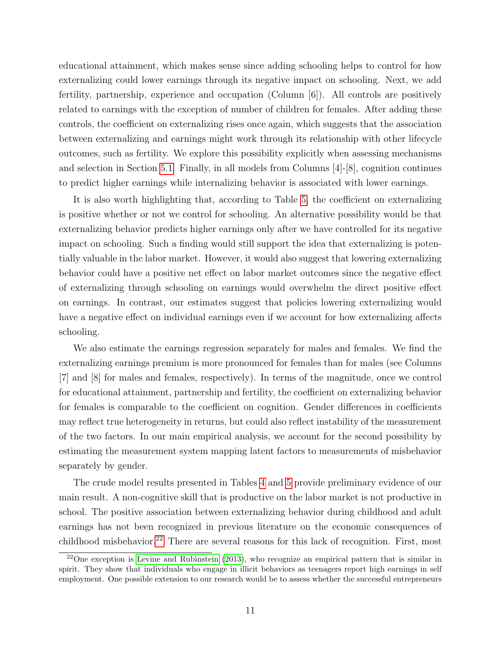educational attainment, which makes sense since adding schooling helps to control for how externalizing could lower earnings through its negative impact on schooling. Next, we add fertility, partnership, experience and occupation (Column [6]). All controls are positively related to earnings with the exception of number of children for females. After adding these controls, the coefficient on externalizing rises once again, which suggests that the association between externalizing and earnings might work through its relationship with other lifecycle outcomes, such as fertility. We explore this possibility explicitly when assessing mechanisms and selection in Section [5.1.](#page-21-1) Finally, in all models from Columns [4]-[8], cognition continues to predict higher earnings while internalizing behavior is associated with lower earnings.

It is also worth highlighting that, according to Table [5,](#page-40-0) the coefficient on externalizing is positive whether or not we control for schooling. An alternative possibility would be that externalizing behavior predicts higher earnings only after we have controlled for its negative impact on schooling. Such a finding would still support the idea that externalizing is potentially valuable in the labor market. However, it would also suggest that lowering externalizing behavior could have a positive net effect on labor market outcomes since the negative effect of externalizing through schooling on earnings would overwhelm the direct positive effect on earnings. In contrast, our estimates suggest that policies lowering externalizing would have a negative effect on individual earnings even if we account for how externalizing affects schooling.

We also estimate the earnings regression separately for males and females. We find the externalizing earnings premium is more pronounced for females than for males (see Columns [7] and [8] for males and females, respectively). In terms of the magnitude, once we control for educational attainment, partnership and fertility, the coefficient on externalizing behavior for females is comparable to the coefficient on cognition. Gender differences in coefficients may reflect true heterogeneity in returns, but could also reflect instability of the measurement of the two factors. In our main empirical analysis, we account for the second possibility by estimating the measurement system mapping latent factors to measurements of misbehavior separately by gender.

The crude model results presented in Tables [4](#page-39-0) and [5](#page-40-0) provide preliminary evidence of our main result. A non-cognitive skill that is productive on the labor market is not productive in school. The positive association between externalizing behavior during childhood and adult earnings has not been recognized in previous literature on the economic consequences of childhood misbehavior.<sup>[22](#page-13-0)</sup> There are several reasons for this lack of recognition. First, most

<span id="page-13-0"></span><sup>22</sup>One exception is [Levine and Rubinstein](#page-33-2) [\(2013\)](#page-33-2), who recognize an empirical pattern that is similar in spirit. They show that individuals who engage in illicit behaviors as teenagers report high earnings in self employment. One possible extension to our research would be to assess whether the successful entrepreneurs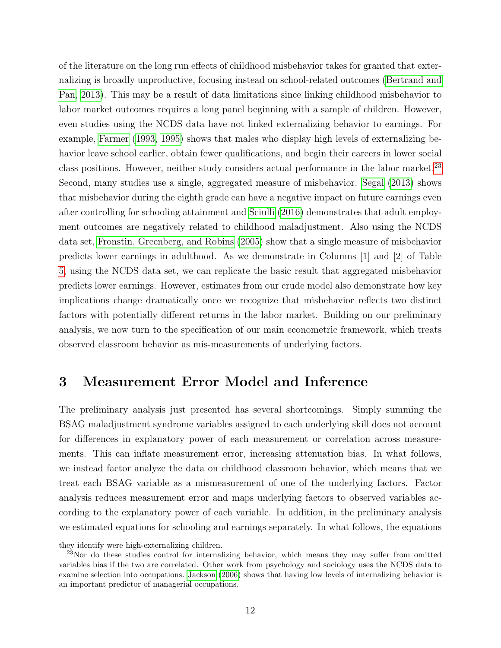of the literature on the long run effects of childhood misbehavior takes for granted that externalizing is broadly unproductive, focusing instead on school-related outcomes [\(Bertrand and](#page-31-5) [Pan, 2013\)](#page-31-5). This may be a result of data limitations since linking childhood misbehavior to labor market outcomes requires a long panel beginning with a sample of children. However, even studies using the NCDS data have not linked externalizing behavior to earnings. For example, [Farmer](#page-32-5) [\(1993,](#page-32-5) [1995\)](#page-32-6) shows that males who display high levels of externalizing behavior leave school earlier, obtain fewer qualifications, and begin their careers in lower social class positions. However, neither study considers actual performance in the labor market.<sup>[23](#page-14-1)</sup> Second, many studies use a single, aggregated measure of misbehavior. [Segal](#page-34-8) [\(2013\)](#page-34-8) shows that misbehavior during the eighth grade can have a negative impact on future earnings even after controlling for schooling attainment and [Sciulli](#page-34-9) [\(2016\)](#page-34-9) demonstrates that adult employment outcomes are negatively related to childhood maladjustment. Also using the NCDS data set, [Fronstin, Greenberg, and Robins](#page-32-7) [\(2005\)](#page-32-7) show that a single measure of misbehavior predicts lower earnings in adulthood. As we demonstrate in Columns [1] and [2] of Table [5,](#page-40-0) using the NCDS data set, we can replicate the basic result that aggregated misbehavior predicts lower earnings. However, estimates from our crude model also demonstrate how key implications change dramatically once we recognize that misbehavior reflects two distinct factors with potentially different returns in the labor market. Building on our preliminary analysis, we now turn to the specification of our main econometric framework, which treats observed classroom behavior as mis-measurements of underlying factors.

## <span id="page-14-0"></span>3 Measurement Error Model and Inference

The preliminary analysis just presented has several shortcomings. Simply summing the BSAG maladjustment syndrome variables assigned to each underlying skill does not account for differences in explanatory power of each measurement or correlation across measurements. This can inflate measurement error, increasing attenuation bias. In what follows, we instead factor analyze the data on childhood classroom behavior, which means that we treat each BSAG variable as a mismeasurement of one of the underlying factors. Factor analysis reduces measurement error and maps underlying factors to observed variables according to the explanatory power of each variable. In addition, in the preliminary analysis we estimated equations for schooling and earnings separately. In what follows, the equations

they identify were high-externalizing children.

<span id="page-14-1"></span><sup>&</sup>lt;sup>23</sup>Nor do these studies control for internalizing behavior, which means they may suffer from omitted variables bias if the two are correlated. Other work from psychology and sociology uses the NCDS data to examine selection into occupations. [Jackson](#page-33-4) [\(2006\)](#page-33-4) shows that having low levels of internalizing behavior is an important predictor of managerial occupations.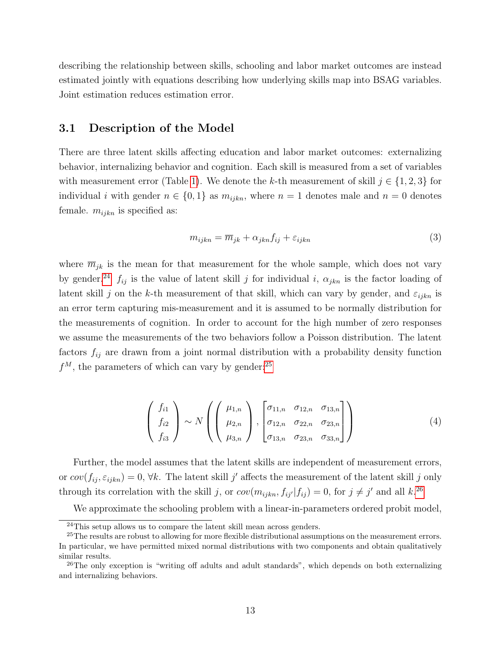describing the relationship between skills, schooling and labor market outcomes are instead estimated jointly with equations describing how underlying skills map into BSAG variables. Joint estimation reduces estimation error.

#### 3.1 Description of the Model

There are three latent skills affecting education and labor market outcomes: externalizing behavior, internalizing behavior and cognition. Each skill is measured from a set of variables with measurement error (Table [1\)](#page-36-0). We denote the k-th measurement of skill  $j \in \{1, 2, 3\}$  for individual i with gender  $n \in \{0, 1\}$  as  $m_{ijkn}$ , where  $n = 1$  denotes male and  $n = 0$  denotes female.  $m_{ijkn}$  is specified as:

<span id="page-15-3"></span>
$$
m_{ijkn} = \overline{m}_{jk} + \alpha_{jkn} f_{ij} + \varepsilon_{ijkn}
$$
\n<sup>(3)</sup>

where  $\overline{m}_{jk}$  is the mean for that measurement for the whole sample, which does not vary by gender.<sup>[24](#page-15-0)</sup>  $f_{ij}$  is the value of latent skill j for individual i,  $\alpha_{jkn}$  is the factor loading of latent skill j on the k-th measurement of that skill, which can vary by gender, and  $\varepsilon_{ijkn}$  is an error term capturing mis-measurement and it is assumed to be normally distribution for the measurements of cognition. In order to account for the high number of zero responses we assume the measurements of the two behaviors follow a Poisson distribution. The latent factors  $f_{ij}$  are drawn from a joint normal distribution with a probability density function  $f^M$ , the parameters of which can vary by gender:<sup>[25](#page-15-1)</sup>

<span id="page-15-4"></span>
$$
\begin{pmatrix} f_{i1} \\ f_{i2} \\ f_{i3} \end{pmatrix} \sim N \left( \begin{pmatrix} \mu_{1,n} \\ \mu_{2,n} \\ \mu_{3,n} \end{pmatrix}, \begin{bmatrix} \sigma_{11,n} & \sigma_{12,n} & \sigma_{13,n} \\ \sigma_{12,n} & \sigma_{22,n} & \sigma_{23,n} \\ \sigma_{13,n} & \sigma_{23,n} & \sigma_{33,n} \end{bmatrix} \right)
$$
(4)

Further, the model assumes that the latent skills are independent of measurement errors, or  $cov(f_{ij}, \varepsilon_{ijkn}) = 0$ ,  $\forall k$ . The latent skill j' affects the measurement of the latent skill j only through its correlation with the skill j, or  $cov(m_{ijkn}, f_{ij'}|f_{ij}) = 0$ , for  $j \neq j'$  and all k.<sup>[26](#page-15-2)</sup>

We approximate the schooling problem with a linear-in-parameters ordered probit model,

<span id="page-15-1"></span><span id="page-15-0"></span><sup>&</sup>lt;sup>24</sup>This setup allows us to compare the latent skill mean across genders.

<sup>&</sup>lt;sup>25</sup>The results are robust to allowing for more flexible distributional assumptions on the measurement errors. In particular, we have permitted mixed normal distributions with two components and obtain qualitatively similar results.

<span id="page-15-2"></span><sup>&</sup>lt;sup>26</sup>The only exception is "writing off adults and adult standards", which depends on both externalizing and internalizing behaviors.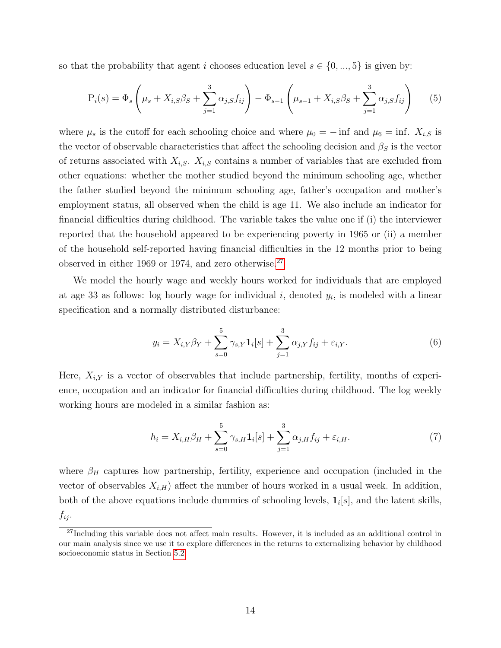so that the probability that agent i chooses education level  $s \in \{0, ..., 5\}$  is given by:

<span id="page-16-1"></span>
$$
P_i(s) = \Phi_s \left(\mu_s + X_{i,S}\beta_S + \sum_{j=1}^3 \alpha_{j,S} f_{ij}\right) - \Phi_{s-1} \left(\mu_{s-1} + X_{i,S}\beta_S + \sum_{j=1}^3 \alpha_{j,S} f_{ij}\right) \tag{5}
$$

where  $\mu_s$  is the cutoff for each schooling choice and where  $\mu_0 = -$  inf and  $\mu_6 =$  inf.  $X_{i,S}$  is the vector of observable characteristics that affect the schooling decision and  $\beta_S$  is the vector of returns associated with  $X_{i,S}$ .  $X_{i,S}$  contains a number of variables that are excluded from other equations: whether the mother studied beyond the minimum schooling age, whether the father studied beyond the minimum schooling age, father's occupation and mother's employment status, all observed when the child is age 11. We also include an indicator for financial difficulties during childhood. The variable takes the value one if (i) the interviewer reported that the household appeared to be experiencing poverty in 1965 or (ii) a member of the household self-reported having financial difficulties in the 12 months prior to being observed in either 1969 or 1974, and zero otherwise.<sup>[27](#page-16-0)</sup>

We model the hourly wage and weekly hours worked for individuals that are employed at age 33 as follows: log hourly wage for individual  $i$ , denoted  $y_i$ , is modeled with a linear specification and a normally distributed disturbance:

$$
y_i = X_{i,Y} \beta_Y + \sum_{s=0}^{5} \gamma_{s,Y} \mathbf{1}_i[s] + \sum_{j=1}^{3} \alpha_{j,Y} f_{ij} + \varepsilon_{i,Y}.
$$
 (6)

Here,  $X_{i,Y}$  is a vector of observables that include partnership, fertility, months of experience, occupation and an indicator for financial difficulties during childhood. The log weekly working hours are modeled in a similar fashion as:

<span id="page-16-2"></span>
$$
h_i = X_{i,H} \beta_H + \sum_{s=0}^{5} \gamma_{s,H} \mathbf{1}_i[s] + \sum_{j=1}^{3} \alpha_{j,H} f_{ij} + \varepsilon_{i,H}.
$$
 (7)

where  $\beta_H$  captures how partnership, fertility, experience and occupation (included in the vector of observables  $X_{i,H}$ ) affect the number of hours worked in a usual week. In addition, both of the above equations include dummies of schooling levels,  $\mathbf{1}_i[s]$ , and the latent skills,  $f_{ij}$ .

<span id="page-16-0"></span><sup>&</sup>lt;sup>27</sup>Including this variable does not affect main results. However, it is included as an additional control in our main analysis since we use it to explore differences in the returns to externalizing behavior by childhood socioeconomic status in Section [5.2.](#page-25-0)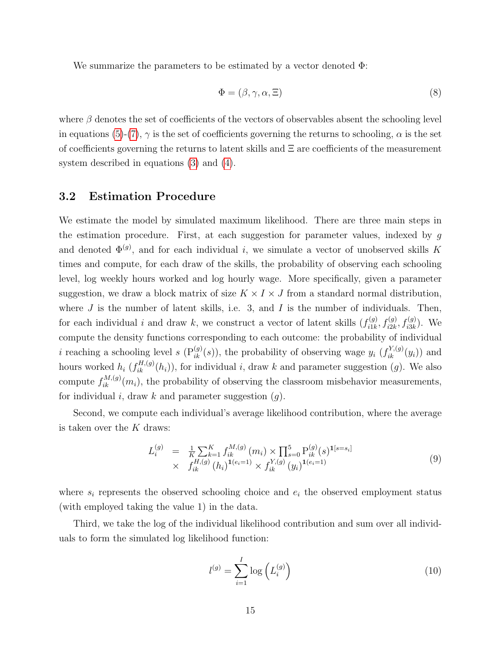We summarize the parameters to be estimated by a vector denoted Φ:

$$
\Phi = (\beta, \gamma, \alpha, \Xi) \tag{8}
$$

where  $\beta$  denotes the set of coefficients of the vectors of observables absent the schooling level in equations [\(5\)](#page-16-1)-[\(7\)](#page-16-2),  $\gamma$  is the set of coefficients governing the returns to schooling,  $\alpha$  is the set of coefficients governing the returns to latent skills and  $\Xi$  are coefficients of the measurement system described in equations [\(3\)](#page-15-3) and [\(4\)](#page-15-4).

#### 3.2 Estimation Procedure

We estimate the model by simulated maximum likelihood. There are three main steps in the estimation procedure. First, at each suggestion for parameter values, indexed by g and denoted  $\Phi^{(g)}$ , and for each individual i, we simulate a vector of unobserved skills K times and compute, for each draw of the skills, the probability of observing each schooling level, log weekly hours worked and log hourly wage. More specifically, given a parameter suggestion, we draw a block matrix of size  $K \times I \times J$  from a standard normal distribution, where  $J$  is the number of latent skills, i.e. 3, and  $I$  is the number of individuals. Then, for each individual i and draw k, we construct a vector of latent skills  $(f_{i1k}^{(g)})$  $f_{i1k}^{(g)}$ ,  $f_{i2k}^{(g)}$ ,  $f_{i3k}^{(g)}$ ). We compute the density functions corresponding to each outcome: the probability of individual *i* reaching a schooling level *s*  $(P_{ik}^{(g)}(s))$ , the probability of observing wage  $y_i$   $(f_{ik}^{Y,(g)}(y_i))$  and hours worked  $h_i$   $(f_{ik}^{H,(g)}(h_i))$ , for individual i, draw k and parameter suggestion  $(g)$ . We also compute  $f_{ik}^{M,(g)}(m_i)$ , the probability of observing the classroom misbehavior measurements, for individual i, draw k and parameter suggestion  $(q)$ .

Second, we compute each individual's average likelihood contribution, where the average is taken over the  $K$  draws:

$$
L_i^{(g)} = \frac{1}{K} \sum_{k=1}^K f_{ik}^{M,(g)}(m_i) \times \prod_{s=0}^5 P_{ik}^{(g)}(s)^{1[s=s_i]} \times f_{ik}^{H,(g)}(h_i)^{1(e_i=1)} \times f_{ik}^{Y,(g)}(y_i)^{1(e_i=1)}
$$
\n(9)

where  $s_i$  represents the observed schooling choice and  $e_i$  the observed employment status (with employed taking the value 1) in the data.

Third, we take the log of the individual likelihood contribution and sum over all individuals to form the simulated log likelihood function:

$$
l^{(g)} = \sum_{i=1}^{I} \log \left( L_i^{(g)} \right) \tag{10}
$$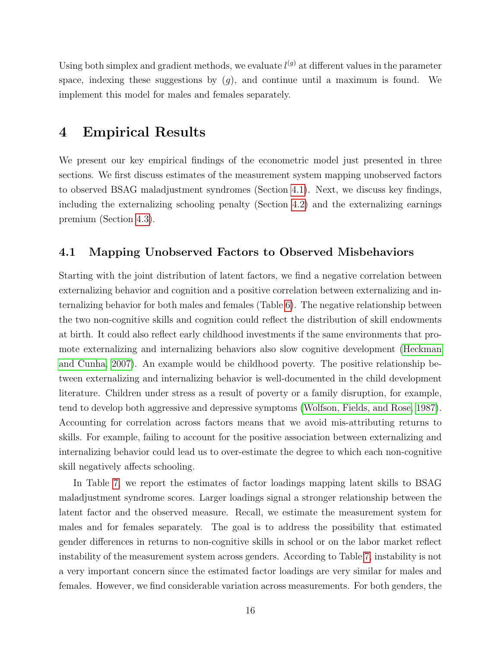Using both simplex and gradient methods, we evaluate  $l^{(g)}$  at different values in the parameter space, indexing these suggestions by  $(g)$ , and continue until a maximum is found. We implement this model for males and females separately.

## <span id="page-18-0"></span>4 Empirical Results

We present our key empirical findings of the econometric model just presented in three sections. We first discuss estimates of the measurement system mapping unobserved factors to observed BSAG maladjustment syndromes (Section [4.1\)](#page-18-1). Next, we discuss key findings, including the externalizing schooling penalty (Section [4.2\)](#page-19-0) and the externalizing earnings premium (Section [4.3\)](#page-20-0).

#### <span id="page-18-1"></span>4.1 Mapping Unobserved Factors to Observed Misbehaviors

Starting with the joint distribution of latent factors, we find a negative correlation between externalizing behavior and cognition and a positive correlation between externalizing and internalizing behavior for both males and females (Table [6\)](#page-41-0). The negative relationship between the two non-cognitive skills and cognition could reflect the distribution of skill endowments at birth. It could also reflect early childhood investments if the same environments that promote externalizing and internalizing behaviors also slow cognitive development [\(Heckman](#page-33-5) [and Cunha, 2007\)](#page-33-5). An example would be childhood poverty. The positive relationship between externalizing and internalizing behavior is well-documented in the child development literature. Children under stress as a result of poverty or a family disruption, for example, tend to develop both aggressive and depressive symptoms [\(Wolfson, Fields, and Rose, 1987\)](#page-35-1). Accounting for correlation across factors means that we avoid mis-attributing returns to skills. For example, failing to account for the positive association between externalizing and internalizing behavior could lead us to over-estimate the degree to which each non-cognitive skill negatively affects schooling.

In Table [7,](#page-41-1) we report the estimates of factor loadings mapping latent skills to BSAG maladjustment syndrome scores. Larger loadings signal a stronger relationship between the latent factor and the observed measure. Recall, we estimate the measurement system for males and for females separately. The goal is to address the possibility that estimated gender differences in returns to non-cognitive skills in school or on the labor market reflect instability of the measurement system across genders. According to Table [7,](#page-41-1) instability is not a very important concern since the estimated factor loadings are very similar for males and females. However, we find considerable variation across measurements. For both genders, the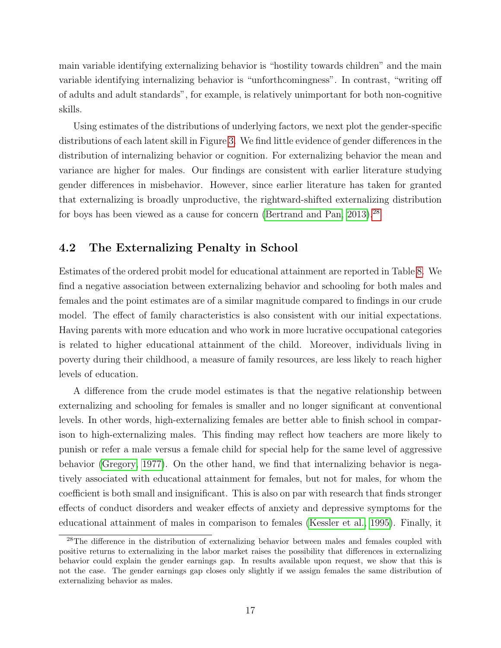main variable identifying externalizing behavior is "hostility towards children" and the main variable identifying internalizing behavior is "unforthcomingness". In contrast, "writing off of adults and adult standards", for example, is relatively unimportant for both non-cognitive skills.

Using estimates of the distributions of underlying factors, we next plot the gender-specific distributions of each latent skill in Figure [3.](#page-57-0) We find little evidence of gender differences in the distribution of internalizing behavior or cognition. For externalizing behavior the mean and variance are higher for males. Our findings are consistent with earlier literature studying gender differences in misbehavior. However, since earlier literature has taken for granted that externalizing is broadly unproductive, the rightward-shifted externalizing distribution for boys has been viewed as a cause for concern (Bertrand and Pan,  $2013$ ).<sup>[28](#page-19-1)</sup>

### <span id="page-19-0"></span>4.2 The Externalizing Penalty in School

Estimates of the ordered probit model for educational attainment are reported in Table [8.](#page-42-0) We find a negative association between externalizing behavior and schooling for both males and females and the point estimates are of a similar magnitude compared to findings in our crude model. The effect of family characteristics is also consistent with our initial expectations. Having parents with more education and who work in more lucrative occupational categories is related to higher educational attainment of the child. Moreover, individuals living in poverty during their childhood, a measure of family resources, are less likely to reach higher levels of education.

A difference from the crude model estimates is that the negative relationship between externalizing and schooling for females is smaller and no longer significant at conventional levels. In other words, high-externalizing females are better able to finish school in comparison to high-externalizing males. This finding may reflect how teachers are more likely to punish or refer a male versus a female child for special help for the same level of aggressive behavior [\(Gregory, 1977\)](#page-32-8). On the other hand, we find that internalizing behavior is negatively associated with educational attainment for females, but not for males, for whom the coefficient is both small and insignificant. This is also on par with research that finds stronger effects of conduct disorders and weaker effects of anxiety and depressive symptoms for the educational attainment of males in comparison to females [\(Kessler et al., 1995\)](#page-33-6). Finally, it

<span id="page-19-1"></span><sup>&</sup>lt;sup>28</sup>The difference in the distribution of externalizing behavior between males and females coupled with positive returns to externalizing in the labor market raises the possibility that differences in externalizing behavior could explain the gender earnings gap. In results available upon request, we show that this is not the case. The gender earnings gap closes only slightly if we assign females the same distribution of externalizing behavior as males.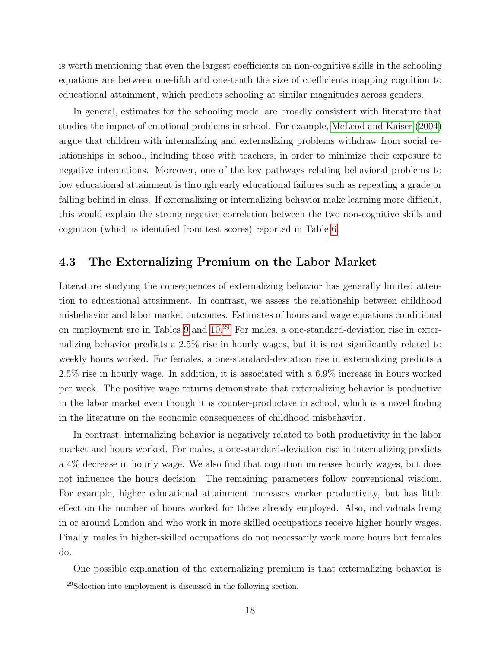is worth mentioning that even the largest coefficients on non-cognitive skills in the schooling equations are between one-fifth and one-tenth the size of coefficients mapping cognition to educational attainment, which predicts schooling at similar magnitudes across genders.

In general, estimates for the schooling model are broadly consistent with literature that studies the impact of emotional problems in school. For example, [McLeod and Kaiser](#page-34-10) [\(2004\)](#page-34-10) argue that children with internalizing and externalizing problems withdraw from social relationships in school, including those with teachers, in order to minimize their exposure to negative interactions. Moreover, one of the key pathways relating behavioral problems to low educational attainment is through early educational failures such as repeating a grade or falling behind in class. If externalizing or internalizing behavior make learning more difficult, this would explain the strong negative correlation between the two non-cognitive skills and cognition (which is identified from test scores) reported in Table [6.](#page-41-0)

### <span id="page-20-0"></span>4.3 The Externalizing Premium on the Labor Market

Literature studying the consequences of externalizing behavior has generally limited attention to educational attainment. In contrast, we assess the relationship between childhood misbehavior and labor market outcomes. Estimates of hours and wage equations conditional on employment are in Tables [9](#page-42-1) and [10.](#page-43-0)[29](#page-20-1) For males, a one-standard-deviation rise in externalizing behavior predicts a 2.5% rise in hourly wages, but it is not significantly related to weekly hours worked. For females, a one-standard-deviation rise in externalizing predicts a 2.5% rise in hourly wage. In addition, it is associated with a 6.9% increase in hours worked per week. The positive wage returns demonstrate that externalizing behavior is productive in the labor market even though it is counter-productive in school, which is a novel finding in the literature on the economic consequences of childhood misbehavior.

In contrast, internalizing behavior is negatively related to both productivity in the labor market and hours worked. For males, a one-standard-deviation rise in internalizing predicts a 4% decrease in hourly wage. We also find that cognition increases hourly wages, but does not influence the hours decision. The remaining parameters follow conventional wisdom. For example, higher educational attainment increases worker productivity, but has little effect on the number of hours worked for those already employed. Also, individuals living in or around London and who work in more skilled occupations receive higher hourly wages. Finally, males in higher-skilled occupations do not necessarily work more hours but females do.

One possible explanation of the externalizing premium is that externalizing behavior is

<span id="page-20-1"></span><sup>29</sup>Selection into employment is discussed in the following section.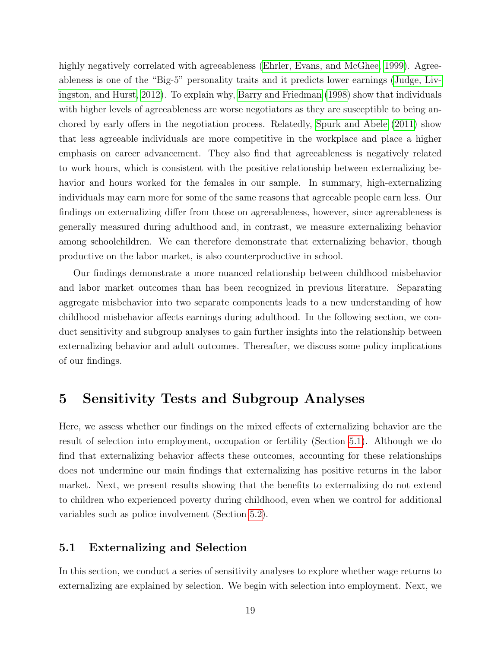highly negatively correlated with agreeableness [\(Ehrler, Evans, and McGhee, 1999\)](#page-32-4). Agreeableness is one of the "Big-5" personality traits and it predicts lower earnings [\(Judge, Liv](#page-33-7)[ingston, and Hurst, 2012\)](#page-33-7). To explain why, [Barry and Friedman](#page-31-6) [\(1998\)](#page-31-6) show that individuals with higher levels of agreeableness are worse negotiators as they are susceptible to being anchored by early offers in the negotiation process. Relatedly, [Spurk and Abele](#page-34-11) [\(2011\)](#page-34-11) show that less agreeable individuals are more competitive in the workplace and place a higher emphasis on career advancement. They also find that agreeableness is negatively related to work hours, which is consistent with the positive relationship between externalizing behavior and hours worked for the females in our sample. In summary, high-externalizing individuals may earn more for some of the same reasons that agreeable people earn less. Our findings on externalizing differ from those on agreeableness, however, since agreeableness is generally measured during adulthood and, in contrast, we measure externalizing behavior among schoolchildren. We can therefore demonstrate that externalizing behavior, though productive on the labor market, is also counterproductive in school.

Our findings demonstrate a more nuanced relationship between childhood misbehavior and labor market outcomes than has been recognized in previous literature. Separating aggregate misbehavior into two separate components leads to a new understanding of how childhood misbehavior affects earnings during adulthood. In the following section, we conduct sensitivity and subgroup analyses to gain further insights into the relationship between externalizing behavior and adult outcomes. Thereafter, we discuss some policy implications of our findings.

## <span id="page-21-0"></span>5 Sensitivity Tests and Subgroup Analyses

Here, we assess whether our findings on the mixed effects of externalizing behavior are the result of selection into employment, occupation or fertility (Section [5.1\)](#page-21-1). Although we do find that externalizing behavior affects these outcomes, accounting for these relationships does not undermine our main findings that externalizing has positive returns in the labor market. Next, we present results showing that the benefits to externalizing do not extend to children who experienced poverty during childhood, even when we control for additional variables such as police involvement (Section [5.2\)](#page-25-0).

#### <span id="page-21-1"></span>5.1 Externalizing and Selection

In this section, we conduct a series of sensitivity analyses to explore whether wage returns to externalizing are explained by selection. We begin with selection into employment. Next, we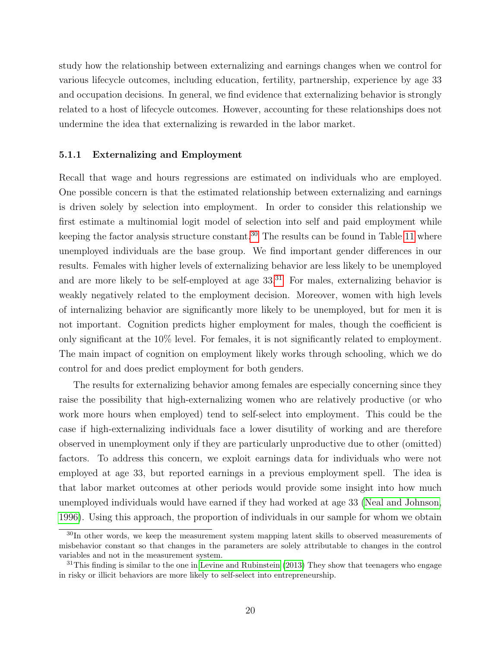study how the relationship between externalizing and earnings changes when we control for various lifecycle outcomes, including education, fertility, partnership, experience by age 33 and occupation decisions. In general, we find evidence that externalizing behavior is strongly related to a host of lifecycle outcomes. However, accounting for these relationships does not undermine the idea that externalizing is rewarded in the labor market.

#### 5.1.1 Externalizing and Employment

Recall that wage and hours regressions are estimated on individuals who are employed. One possible concern is that the estimated relationship between externalizing and earnings is driven solely by selection into employment. In order to consider this relationship we first estimate a multinomial logit model of selection into self and paid employment while keeping the factor analysis structure constant.<sup>[30](#page-22-0)</sup> The results can be found in Table [11](#page-44-0) where unemployed individuals are the base group. We find important gender differences in our results. Females with higher levels of externalizing behavior are less likely to be unemployed and are more likely to be self-employed at age  $33<sup>31</sup>$  $33<sup>31</sup>$  $33<sup>31</sup>$  For males, externalizing behavior is weakly negatively related to the employment decision. Moreover, women with high levels of internalizing behavior are significantly more likely to be unemployed, but for men it is not important. Cognition predicts higher employment for males, though the coefficient is only significant at the 10% level. For females, it is not significantly related to employment. The main impact of cognition on employment likely works through schooling, which we do control for and does predict employment for both genders.

The results for externalizing behavior among females are especially concerning since they raise the possibility that high-externalizing women who are relatively productive (or who work more hours when employed) tend to self-select into employment. This could be the case if high-externalizing individuals face a lower disutility of working and are therefore observed in unemployment only if they are particularly unproductive due to other (omitted) factors. To address this concern, we exploit earnings data for individuals who were not employed at age 33, but reported earnings in a previous employment spell. The idea is that labor market outcomes at other periods would provide some insight into how much unemployed individuals would have earned if they had worked at age 33 [\(Neal and Johnson,](#page-34-12) [1996\)](#page-34-12). Using this approach, the proportion of individuals in our sample for whom we obtain

<span id="page-22-0"></span><sup>&</sup>lt;sup>30</sup>In other words, we keep the measurement system mapping latent skills to observed measurements of misbehavior constant so that changes in the parameters are solely attributable to changes in the control variables and not in the measurement system.

<span id="page-22-1"></span> $31$ This finding is similar to the one in [Levine and Rubinstein](#page-33-2) [\(2013\)](#page-33-2) They show that teenagers who engage in risky or illicit behaviors are more likely to self-select into entrepreneurship.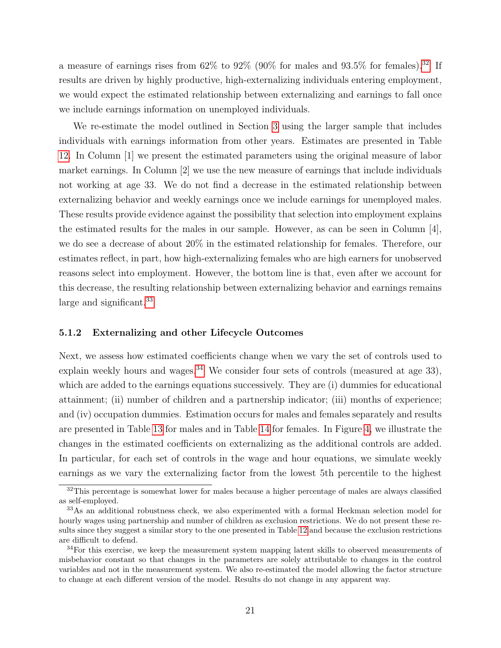a measure of earnings rises from  $62\%$  to  $92\%$  (90% for males and  $93.5\%$  for females).<sup>[32](#page-23-0)</sup> If results are driven by highly productive, high-externalizing individuals entering employment, we would expect the estimated relationship between externalizing and earnings to fall once we include earnings information on unemployed individuals.

We re-estimate the model outlined in Section [3](#page-14-0) using the larger sample that includes individuals with earnings information from other years. Estimates are presented in Table [12.](#page-45-0) In Column [1] we present the estimated parameters using the original measure of labor market earnings. In Column [2] we use the new measure of earnings that include individuals not working at age 33. We do not find a decrease in the estimated relationship between externalizing behavior and weekly earnings once we include earnings for unemployed males. These results provide evidence against the possibility that selection into employment explains the estimated results for the males in our sample. However, as can be seen in Column  $[4]$ , we do see a decrease of about 20% in the estimated relationship for females. Therefore, our estimates reflect, in part, how high-externalizing females who are high earners for unobserved reasons select into employment. However, the bottom line is that, even after we account for this decrease, the resulting relationship between externalizing behavior and earnings remains large and significant.<sup>[33](#page-23-1)</sup>

#### 5.1.2 Externalizing and other Lifecycle Outcomes

Next, we assess how estimated coefficients change when we vary the set of controls used to explain weekly hours and wages.<sup>[34](#page-23-2)</sup> We consider four sets of controls (measured at age 33), which are added to the earnings equations successively. They are (i) dummies for educational attainment; (ii) number of children and a partnership indicator; (iii) months of experience; and (iv) occupation dummies. Estimation occurs for males and females separately and results are presented in Table [13](#page-46-0) for males and in Table [14](#page-47-0) for females. In Figure [4,](#page-58-0) we illustrate the changes in the estimated coefficients on externalizing as the additional controls are added. In particular, for each set of controls in the wage and hour equations, we simulate weekly earnings as we vary the externalizing factor from the lowest 5th percentile to the highest

<span id="page-23-0"></span> $32$ This percentage is somewhat lower for males because a higher percentage of males are always classified as self-employed.

<span id="page-23-1"></span><sup>&</sup>lt;sup>33</sup>As an additional robustness check, we also experimented with a formal Heckman selection model for hourly wages using partnership and number of children as exclusion restrictions. We do not present these results since they suggest a similar story to the one presented in Table [12](#page-45-0) and because the exclusion restrictions are difficult to defend.

<span id="page-23-2"></span><sup>&</sup>lt;sup>34</sup>For this exercise, we keep the measurement system mapping latent skills to observed measurements of misbehavior constant so that changes in the parameters are solely attributable to changes in the control variables and not in the measurement system. We also re-estimated the model allowing the factor structure to change at each different version of the model. Results do not change in any apparent way.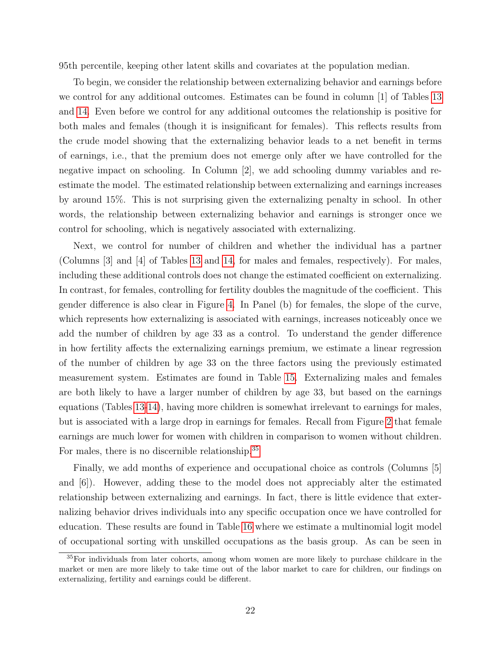95th percentile, keeping other latent skills and covariates at the population median.

To begin, we consider the relationship between externalizing behavior and earnings before we control for any additional outcomes. Estimates can be found in column [1] of Tables [13](#page-46-0) and [14.](#page-47-0) Even before we control for any additional outcomes the relationship is positive for both males and females (though it is insignificant for females). This reflects results from the crude model showing that the externalizing behavior leads to a net benefit in terms of earnings, i.e., that the premium does not emerge only after we have controlled for the negative impact on schooling. In Column [2], we add schooling dummy variables and reestimate the model. The estimated relationship between externalizing and earnings increases by around 15%. This is not surprising given the externalizing penalty in school. In other words, the relationship between externalizing behavior and earnings is stronger once we control for schooling, which is negatively associated with externalizing.

Next, we control for number of children and whether the individual has a partner (Columns [3] and [4] of Tables [13](#page-46-0) and [14,](#page-47-0) for males and females, respectively). For males, including these additional controls does not change the estimated coefficient on externalizing. In contrast, for females, controlling for fertility doubles the magnitude of the coefficient. This gender difference is also clear in Figure [4.](#page-58-0) In Panel (b) for females, the slope of the curve, which represents how externalizing is associated with earnings, increases noticeably once we add the number of children by age 33 as a control. To understand the gender difference in how fertility affects the externalizing earnings premium, we estimate a linear regression of the number of children by age 33 on the three factors using the previously estimated measurement system. Estimates are found in Table [15.](#page-48-0) Externalizing males and females are both likely to have a larger number of children by age 33, but based on the earnings equations (Tables [13-](#page-46-0)[14\)](#page-47-0), having more children is somewhat irrelevant to earnings for males, but is associated with a large drop in earnings for females. Recall from Figure [2](#page-56-0) that female earnings are much lower for women with children in comparison to women without children. For males, there is no discernible relationship.<sup>[35](#page-24-0)</sup>

Finally, we add months of experience and occupational choice as controls (Columns [5] and [6]). However, adding these to the model does not appreciably alter the estimated relationship between externalizing and earnings. In fact, there is little evidence that externalizing behavior drives individuals into any specific occupation once we have controlled for education. These results are found in Table [16](#page-49-0) where we estimate a multinomial logit model of occupational sorting with unskilled occupations as the basis group. As can be seen in

<span id="page-24-0"></span><sup>&</sup>lt;sup>35</sup>For individuals from later cohorts, among whom women are more likely to purchase childcare in the market or men are more likely to take time out of the labor market to care for children, our findings on externalizing, fertility and earnings could be different.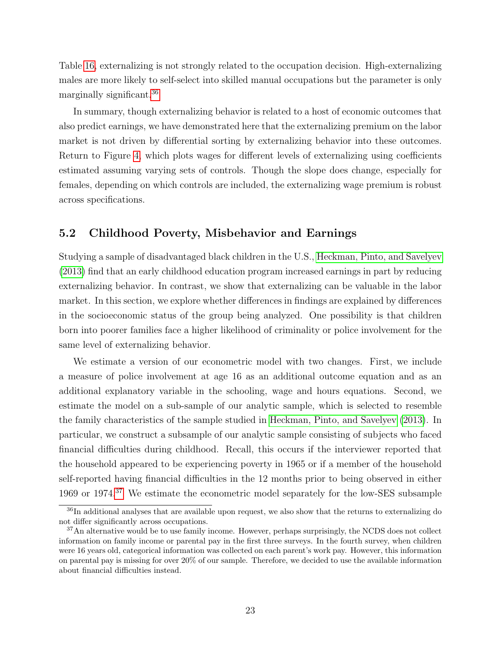Table [16,](#page-49-0) externalizing is not strongly related to the occupation decision. High-externalizing males are more likely to self-select into skilled manual occupations but the parameter is only marginally significant.[36](#page-25-1)

In summary, though externalizing behavior is related to a host of economic outcomes that also predict earnings, we have demonstrated here that the externalizing premium on the labor market is not driven by differential sorting by externalizing behavior into these outcomes. Return to Figure [4,](#page-58-0) which plots wages for different levels of externalizing using coefficients estimated assuming varying sets of controls. Though the slope does change, especially for females, depending on which controls are included, the externalizing wage premium is robust across specifications.

### <span id="page-25-0"></span>5.2 Childhood Poverty, Misbehavior and Earnings

Studying a sample of disadvantaged black children in the U.S., [Heckman, Pinto, and Savelyev](#page-33-3) [\(2013\)](#page-33-3) find that an early childhood education program increased earnings in part by reducing externalizing behavior. In contrast, we show that externalizing can be valuable in the labor market. In this section, we explore whether differences in findings are explained by differences in the socioeconomic status of the group being analyzed. One possibility is that children born into poorer families face a higher likelihood of criminality or police involvement for the same level of externalizing behavior.

We estimate a version of our econometric model with two changes. First, we include a measure of police involvement at age 16 as an additional outcome equation and as an additional explanatory variable in the schooling, wage and hours equations. Second, we estimate the model on a sub-sample of our analytic sample, which is selected to resemble the family characteristics of the sample studied in [Heckman, Pinto, and Savelyev](#page-33-3) [\(2013\)](#page-33-3). In particular, we construct a subsample of our analytic sample consisting of subjects who faced financial difficulties during childhood. Recall, this occurs if the interviewer reported that the household appeared to be experiencing poverty in 1965 or if a member of the household self-reported having financial difficulties in the 12 months prior to being observed in either 1969 or 1974.[37](#page-25-2) We estimate the econometric model separately for the low-SES subsample

<span id="page-25-1"></span><sup>&</sup>lt;sup>36</sup>In additional analyses that are available upon request, we also show that the returns to externalizing do not differ significantly across occupations.

<span id="page-25-2"></span><sup>&</sup>lt;sup>37</sup>An alternative would be to use family income. However, perhaps surprisingly, the NCDS does not collect information on family income or parental pay in the first three surveys. In the fourth survey, when children were 16 years old, categorical information was collected on each parent's work pay. However, this information on parental pay is missing for over 20% of our sample. Therefore, we decided to use the available information about financial difficulties instead.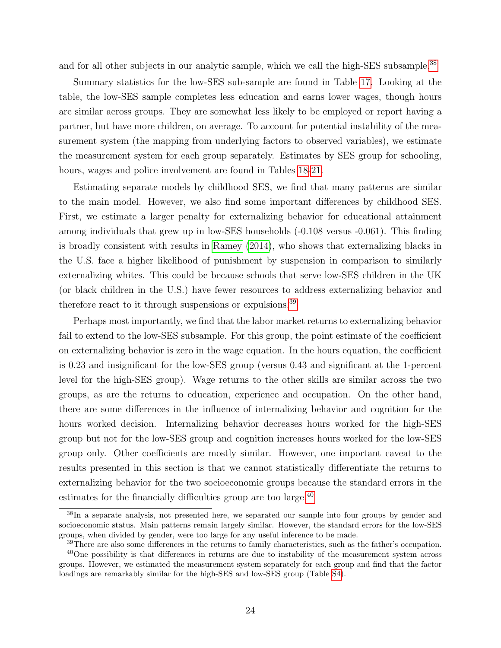and for all other subjects in our analytic sample, which we call the high-SES subsample.<sup>[38](#page-26-0)</sup>

Summary statistics for the low-SES sub-sample are found in Table [17.](#page-50-0) Looking at the table, the low-SES sample completes less education and earns lower wages, though hours are similar across groups. They are somewhat less likely to be employed or report having a partner, but have more children, on average. To account for potential instability of the measurement system (the mapping from underlying factors to observed variables), we estimate the measurement system for each group separately. Estimates by SES group for schooling, hours, wages and police involvement are found in Tables [18-](#page-51-0)[21.](#page-54-0)

Estimating separate models by childhood SES, we find that many patterns are similar to the main model. However, we also find some important differences by childhood SES. First, we estimate a larger penalty for externalizing behavior for educational attainment among individuals that grew up in low-SES households (-0.108 versus -0.061). This finding is broadly consistent with results in [Ramey](#page-34-13) [\(2014\)](#page-34-13), who shows that externalizing blacks in the U.S. face a higher likelihood of punishment by suspension in comparison to similarly externalizing whites. This could be because schools that serve low-SES children in the UK (or black children in the U.S.) have fewer resources to address externalizing behavior and therefore react to it through suspensions or expulsions.[39](#page-26-1)

Perhaps most importantly, we find that the labor market returns to externalizing behavior fail to extend to the low-SES subsample. For this group, the point estimate of the coefficient on externalizing behavior is zero in the wage equation. In the hours equation, the coefficient is 0.23 and insignificant for the low-SES group (versus 0.43 and significant at the 1-percent level for the high-SES group). Wage returns to the other skills are similar across the two groups, as are the returns to education, experience and occupation. On the other hand, there are some differences in the influence of internalizing behavior and cognition for the hours worked decision. Internalizing behavior decreases hours worked for the high-SES group but not for the low-SES group and cognition increases hours worked for the low-SES group only. Other coefficients are mostly similar. However, one important caveat to the results presented in this section is that we cannot statistically differentiate the returns to externalizing behavior for the two socioeconomic groups because the standard errors in the estimates for the financially difficulties group are too large.<sup>[40](#page-26-2)</sup>

<span id="page-26-0"></span><sup>&</sup>lt;sup>38</sup>In a separate analysis, not presented here, we separated our sample into four groups by gender and socioeconomic status. Main patterns remain largely similar. However, the standard errors for the low-SES groups, when divided by gender, were too large for any useful inference to be made.

<span id="page-26-2"></span><span id="page-26-1"></span><sup>&</sup>lt;sup>39</sup>There are also some differences in the returns to family characteristics, such as the father's occupation.

<sup>&</sup>lt;sup>40</sup>One possibility is that differences in returns are due to instability of the measurement system across groups. However, we estimated the measurement system separately for each group and find that the factor loadings are remarkably similar for the high-SES and low-SES group (Table [S4\)](#page-39-0).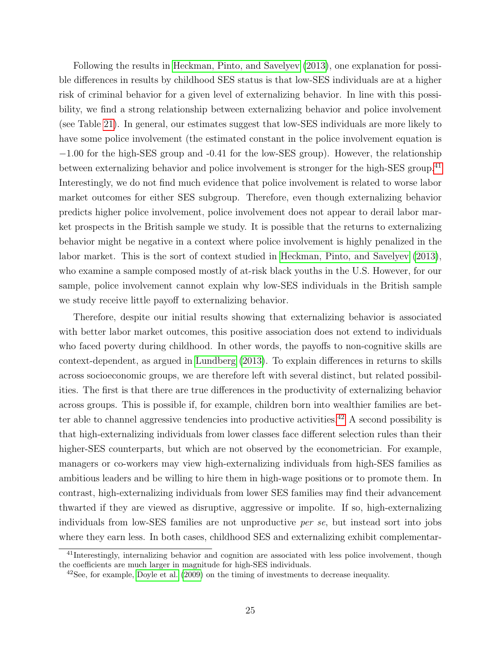Following the results in [Heckman, Pinto, and Savelyev](#page-33-3) [\(2013\)](#page-33-3), one explanation for possible differences in results by childhood SES status is that low-SES individuals are at a higher risk of criminal behavior for a given level of externalizing behavior. In line with this possibility, we find a strong relationship between externalizing behavior and police involvement (see Table [21\)](#page-54-0). In general, our estimates suggest that low-SES individuals are more likely to have some police involvement (the estimated constant in the police involvement equation is −1.00 for the high-SES group and -0.41 for the low-SES group). However, the relationship between externalizing behavior and police involvement is stronger for the high-SES group.<sup>[41](#page-27-0)</sup> Interestingly, we do not find much evidence that police involvement is related to worse labor market outcomes for either SES subgroup. Therefore, even though externalizing behavior predicts higher police involvement, police involvement does not appear to derail labor market prospects in the British sample we study. It is possible that the returns to externalizing behavior might be negative in a context where police involvement is highly penalized in the labor market. This is the sort of context studied in [Heckman, Pinto, and Savelyev](#page-33-3) [\(2013\)](#page-33-3), who examine a sample composed mostly of at-risk black youths in the U.S. However, for our sample, police involvement cannot explain why low-SES individuals in the British sample we study receive little payoff to externalizing behavior.

Therefore, despite our initial results showing that externalizing behavior is associated with better labor market outcomes, this positive association does not extend to individuals who faced poverty during childhood. In other words, the payoffs to non-cognitive skills are context-dependent, as argued in [Lundberg](#page-34-2) [\(2013\)](#page-34-2). To explain differences in returns to skills across socioeconomic groups, we are therefore left with several distinct, but related possibilities. The first is that there are true differences in the productivity of externalizing behavior across groups. This is possible if, for example, children born into wealthier families are bet-ter able to channel aggressive tendencies into productive activities.<sup>[42](#page-27-1)</sup> A second possibility is that high-externalizing individuals from lower classes face different selection rules than their higher-SES counterparts, but which are not observed by the econometrician. For example, managers or co-workers may view high-externalizing individuals from high-SES families as ambitious leaders and be willing to hire them in high-wage positions or to promote them. In contrast, high-externalizing individuals from lower SES families may find their advancement thwarted if they are viewed as disruptive, aggressive or impolite. If so, high-externalizing individuals from low-SES families are not unproductive per se, but instead sort into jobs where they earn less. In both cases, childhood SES and externalizing exhibit complementar-

<span id="page-27-0"></span><sup>&</sup>lt;sup>41</sup>Interestingly, internalizing behavior and cognition are associated with less police involvement, though the coefficients are much larger in magnitude for high-SES individuals.

<span id="page-27-1"></span> $^{42}$ See, for example, [Doyle et al.](#page-32-9) [\(2009\)](#page-32-9) on the timing of investments to decrease inequality.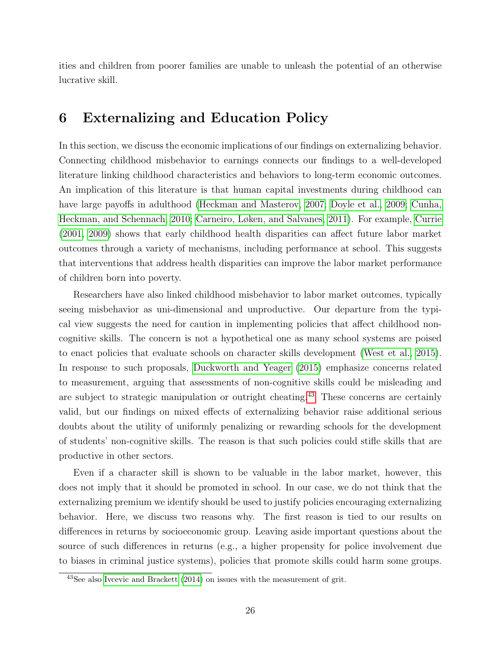ities and children from poorer families are unable to unleash the potential of an otherwise lucrative skill.

## <span id="page-28-0"></span>6 Externalizing and Education Policy

In this section, we discuss the economic implications of our findings on externalizing behavior. Connecting childhood misbehavior to earnings connects our findings to a well-developed literature linking childhood characteristics and behaviors to long-term economic outcomes. An implication of this literature is that human capital investments during childhood can have large payoffs in adulthood [\(Heckman and Masterov, 2007;](#page-33-8) [Doyle et al., 2009;](#page-32-9) [Cunha,](#page-31-7) [Heckman, and Schennach, 2010;](#page-31-7) [Carneiro, Løken, and Salvanes, 2011\)](#page-31-8). For example, [Currie](#page-31-9) [\(2001,](#page-31-9) [2009\)](#page-32-10) shows that early childhood health disparities can affect future labor market outcomes through a variety of mechanisms, including performance at school. This suggests that interventions that address health disparities can improve the labor market performance of children born into poverty.

Researchers have also linked childhood misbehavior to labor market outcomes, typically seeing misbehavior as uni-dimensional and unproductive. Our departure from the typical view suggests the need for caution in implementing policies that affect childhood noncognitive skills. The concern is not a hypothetical one as many school systems are poised to enact policies that evaluate schools on character skills development [\(West et al., 2015\)](#page-34-4). In response to such proposals, [Duckworth and Yeager](#page-32-11) [\(2015\)](#page-32-11) emphasize concerns related to measurement, arguing that assessments of non-cognitive skills could be misleading and are subject to strategic manipulation or outright cheating.<sup>[43](#page-28-1)</sup> These concerns are certainly valid, but our findings on mixed effects of externalizing behavior raise additional serious doubts about the utility of uniformly penalizing or rewarding schools for the development of students' non-cognitive skills. The reason is that such policies could stifle skills that are productive in other sectors.

Even if a character skill is shown to be valuable in the labor market, however, this does not imply that it should be promoted in school. In our case, we do not think that the externalizing premium we identify should be used to justify policies encouraging externalizing behavior. Here, we discuss two reasons why. The first reason is tied to our results on differences in returns by socioeconomic group. Leaving aside important questions about the source of such differences in returns (e.g., a higher propensity for police involvement due to biases in criminal justice systems), policies that promote skills could harm some groups.

<span id="page-28-1"></span><sup>43</sup>See also [Ivcevic and Brackett](#page-33-9) [\(2014\)](#page-33-9) on issues with the measurement of grit.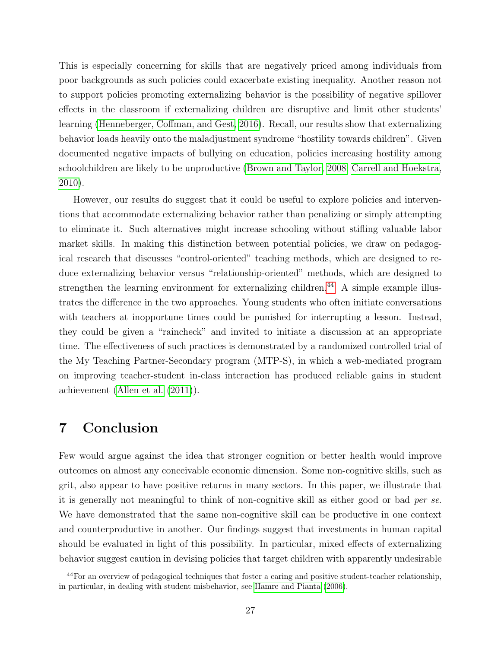This is especially concerning for skills that are negatively priced among individuals from poor backgrounds as such policies could exacerbate existing inequality. Another reason not to support policies promoting externalizing behavior is the possibility of negative spillover effects in the classroom if externalizing children are disruptive and limit other students' learning [\(Henneberger, Coffman, and Gest, 2016\)](#page-33-10). Recall, our results show that externalizing behavior loads heavily onto the maladjustment syndrome "hostility towards children". Given documented negative impacts of bullying on education, policies increasing hostility among schoolchildren are likely to be unproductive [\(Brown and Taylor, 2008;](#page-31-10) [Carrell and Hoekstra,](#page-31-11) [2010\)](#page-31-11).

However, our results do suggest that it could be useful to explore policies and interventions that accommodate externalizing behavior rather than penalizing or simply attempting to eliminate it. Such alternatives might increase schooling without stifling valuable labor market skills. In making this distinction between potential policies, we draw on pedagogical research that discusses "control-oriented" teaching methods, which are designed to reduce externalizing behavior versus "relationship-oriented" methods, which are designed to strengthen the learning environment for externalizing children.<sup>[44](#page-29-1)</sup> A simple example illustrates the difference in the two approaches. Young students who often initiate conversations with teachers at inopportune times could be punished for interrupting a lesson. Instead, they could be given a "raincheck" and invited to initiate a discussion at an appropriate time. The effectiveness of such practices is demonstrated by a randomized controlled trial of the My Teaching Partner-Secondary program (MTP-S), in which a web-mediated program on improving teacher-student in-class interaction has produced reliable gains in student achievement [\(Allen et al.](#page-30-4) [\(2011\)](#page-30-4)).

## <span id="page-29-0"></span>7 Conclusion

Few would argue against the idea that stronger cognition or better health would improve outcomes on almost any conceivable economic dimension. Some non-cognitive skills, such as grit, also appear to have positive returns in many sectors. In this paper, we illustrate that it is generally not meaningful to think of non-cognitive skill as either good or bad per se. We have demonstrated that the same non-cognitive skill can be productive in one context and counterproductive in another. Our findings suggest that investments in human capital should be evaluated in light of this possibility. In particular, mixed effects of externalizing behavior suggest caution in devising policies that target children with apparently undesirable

<span id="page-29-1"></span><sup>&</sup>lt;sup>44</sup>For an overview of pedagogical techniques that foster a caring and positive student-teacher relationship, in particular, in dealing with student misbehavior, see [Hamre and Pianta](#page-33-11) [\(2006\)](#page-33-11).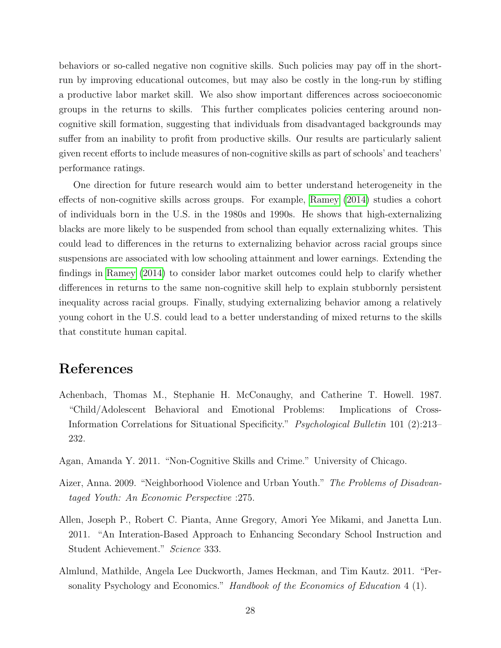behaviors or so-called negative non cognitive skills. Such policies may pay off in the shortrun by improving educational outcomes, but may also be costly in the long-run by stifling a productive labor market skill. We also show important differences across socioeconomic groups in the returns to skills. This further complicates policies centering around noncognitive skill formation, suggesting that individuals from disadvantaged backgrounds may suffer from an inability to profit from productive skills. Our results are particularly salient given recent efforts to include measures of non-cognitive skills as part of schools' and teachers' performance ratings.

One direction for future research would aim to better understand heterogeneity in the effects of non-cognitive skills across groups. For example, [Ramey](#page-34-13) [\(2014\)](#page-34-13) studies a cohort of individuals born in the U.S. in the 1980s and 1990s. He shows that high-externalizing blacks are more likely to be suspended from school than equally externalizing whites. This could lead to differences in the returns to externalizing behavior across racial groups since suspensions are associated with low schooling attainment and lower earnings. Extending the findings in [Ramey](#page-34-13) [\(2014\)](#page-34-13) to consider labor market outcomes could help to clarify whether differences in returns to the same non-cognitive skill help to explain stubbornly persistent inequality across racial groups. Finally, studying externalizing behavior among a relatively young cohort in the U.S. could lead to a better understanding of mixed returns to the skills that constitute human capital.

## References

- <span id="page-30-2"></span>Achenbach, Thomas M., Stephanie H. McConaughy, and Catherine T. Howell. 1987. "Child/Adolescent Behavioral and Emotional Problems: Implications of Cross-Information Correlations for Situational Specificity." Psychological Bulletin 101 (2):213– 232.
- <span id="page-30-3"></span>Agan, Amanda Y. 2011. "Non-Cognitive Skills and Crime." University of Chicago.
- <span id="page-30-1"></span>Aizer, Anna. 2009. "Neighborhood Violence and Urban Youth." The Problems of Disadvantaged Youth: An Economic Perspective :275.
- <span id="page-30-4"></span>Allen, Joseph P., Robert C. Pianta, Anne Gregory, Amori Yee Mikami, and Janetta Lun. 2011. "An Interation-Based Approach to Enhancing Secondary School Instruction and Student Achievement." Science 333.
- <span id="page-30-0"></span>Almlund, Mathilde, Angela Lee Duckworth, James Heckman, and Tim Kautz. 2011. "Personality Psychology and Economics." *Handbook of the Economics of Education* 4 (1).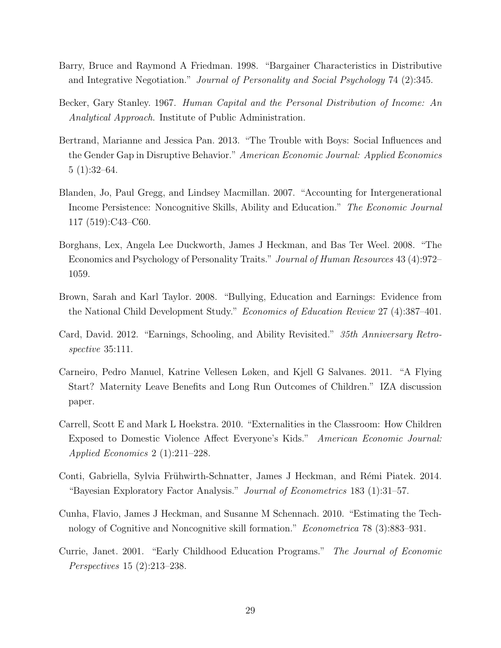- <span id="page-31-6"></span>Barry, Bruce and Raymond A Friedman. 1998. "Bargainer Characteristics in Distributive and Integrative Negotiation." Journal of Personality and Social Psychology 74 (2):345.
- <span id="page-31-1"></span>Becker, Gary Stanley. 1967. Human Capital and the Personal Distribution of Income: An Analytical Approach. Institute of Public Administration.
- <span id="page-31-5"></span>Bertrand, Marianne and Jessica Pan. 2013. "The Trouble with Boys: Social Influences and the Gender Gap in Disruptive Behavior." American Economic Journal: Applied Economics 5 (1):32–64.
- <span id="page-31-3"></span>Blanden, Jo, Paul Gregg, and Lindsey Macmillan. 2007. "Accounting for Intergenerational Income Persistence: Noncognitive Skills, Ability and Education." The Economic Journal 117 (519):C43–C60.
- <span id="page-31-0"></span>Borghans, Lex, Angela Lee Duckworth, James J Heckman, and Bas Ter Weel. 2008. "The Economics and Psychology of Personality Traits." Journal of Human Resources 43 (4):972– 1059.
- <span id="page-31-10"></span>Brown, Sarah and Karl Taylor. 2008. "Bullying, Education and Earnings: Evidence from the National Child Development Study." Economics of Education Review 27 (4):387–401.
- <span id="page-31-2"></span>Card, David. 2012. "Earnings, Schooling, and Ability Revisited." 35th Anniversary Retrospective 35:111.
- <span id="page-31-8"></span>Carneiro, Pedro Manuel, Katrine Vellesen Løken, and Kjell G Salvanes. 2011. "A Flying Start? Maternity Leave Benefits and Long Run Outcomes of Children." IZA discussion paper.
- <span id="page-31-11"></span>Carrell, Scott E and Mark L Hoekstra. 2010. "Externalities in the Classroom: How Children Exposed to Domestic Violence Affect Everyone's Kids." American Economic Journal: Applied Economics 2 (1):211–228.
- <span id="page-31-4"></span>Conti, Gabriella, Sylvia Frühwirth-Schnatter, James J Heckman, and Rémi Piatek. 2014. "Bayesian Exploratory Factor Analysis." Journal of Econometrics 183 (1):31–57.
- <span id="page-31-7"></span>Cunha, Flavio, James J Heckman, and Susanne M Schennach. 2010. "Estimating the Technology of Cognitive and Noncognitive skill formation." Econometrica 78 (3):883–931.
- <span id="page-31-9"></span>Currie, Janet. 2001. "Early Childhood Education Programs." The Journal of Economic Perspectives 15 (2):213–238.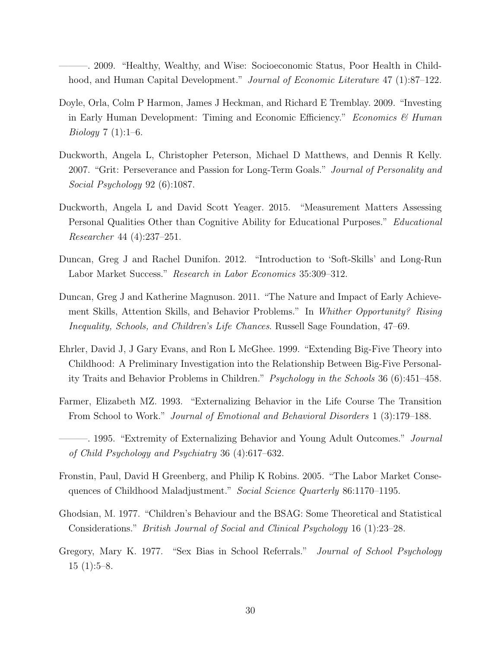<span id="page-32-10"></span>———. 2009. "Healthy, Wealthy, and Wise: Socioeconomic Status, Poor Health in Childhood, and Human Capital Development." Journal of Economic Literature 47 (1):87-122.

- <span id="page-32-9"></span>Doyle, Orla, Colm P Harmon, James J Heckman, and Richard E Tremblay. 2009. "Investing in Early Human Development: Timing and Economic Efficiency." *Economics* & Human *Biology*  $7(1):1-6$ .
- <span id="page-32-0"></span>Duckworth, Angela L, Christopher Peterson, Michael D Matthews, and Dennis R Kelly. 2007. "Grit: Perseverance and Passion for Long-Term Goals." *Journal of Personality and* Social Psychology 92 (6):1087.
- <span id="page-32-11"></span>Duckworth, Angela L and David Scott Yeager. 2015. "Measurement Matters Assessing Personal Qualities Other than Cognitive Ability for Educational Purposes." Educational Researcher 44 (4):237–251.
- <span id="page-32-3"></span>Duncan, Greg J and Rachel Dunifon. 2012. "Introduction to 'Soft-Skills' and Long-Run Labor Market Success." Research in Labor Economics 35:309–312.
- <span id="page-32-2"></span>Duncan, Greg J and Katherine Magnuson. 2011. "The Nature and Impact of Early Achievement Skills, Attention Skills, and Behavior Problems." In Whither Opportunity? Rising Inequality, Schools, and Children's Life Chances. Russell Sage Foundation, 47–69.
- <span id="page-32-4"></span>Ehrler, David J, J Gary Evans, and Ron L McGhee. 1999. "Extending Big-Five Theory into Childhood: A Preliminary Investigation into the Relationship Between Big-Five Personality Traits and Behavior Problems in Children." Psychology in the Schools 36 (6):451–458.
- <span id="page-32-5"></span>Farmer, Elizabeth MZ. 1993. "Externalizing Behavior in the Life Course The Transition From School to Work." Journal of Emotional and Behavioral Disorders 1 (3):179–188.
- <span id="page-32-6"></span>-. 1995. "Extremity of Externalizing Behavior and Young Adult Outcomes." *Journal* of Child Psychology and Psychiatry 36 (4):617–632.
- <span id="page-32-7"></span>Fronstin, Paul, David H Greenberg, and Philip K Robins. 2005. "The Labor Market Consequences of Childhood Maladjustment." Social Science Quarterly 86:1170-1195.
- <span id="page-32-1"></span>Ghodsian, M. 1977. "Children's Behaviour and the BSAG: Some Theoretical and Statistical Considerations." British Journal of Social and Clinical Psychology 16 (1):23–28.
- <span id="page-32-8"></span>Gregory, Mary K. 1977. "Sex Bias in School Referrals." Journal of School Psychology  $15(1):5-8.$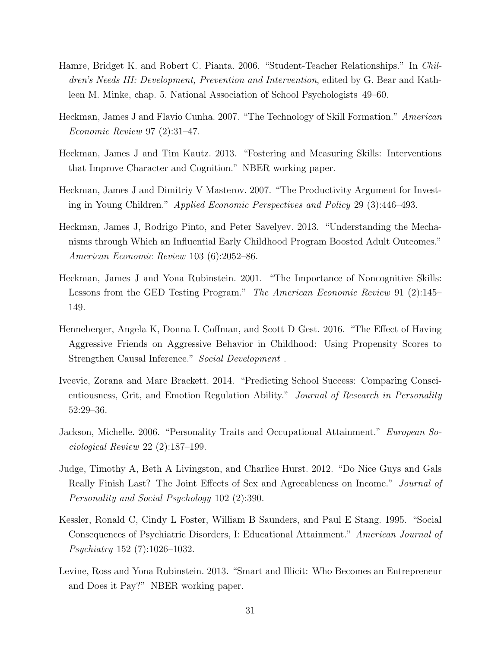- <span id="page-33-11"></span>Hamre, Bridget K. and Robert C. Pianta. 2006. "Student-Teacher Relationships." In Children's Needs III: Development, Prevention and Intervention, edited by G. Bear and Kathleen M. Minke, chap. 5. National Association of School Psychologists 49–60.
- <span id="page-33-5"></span>Heckman, James J and Flavio Cunha. 2007. "The Technology of Skill Formation." American Economic Review 97 (2):31–47.
- <span id="page-33-1"></span>Heckman, James J and Tim Kautz. 2013. "Fostering and Measuring Skills: Interventions that Improve Character and Cognition." NBER working paper.
- <span id="page-33-8"></span>Heckman, James J and Dimitriy V Masterov. 2007. "The Productivity Argument for Investing in Young Children." Applied Economic Perspectives and Policy 29 (3):446–493.
- <span id="page-33-3"></span>Heckman, James J, Rodrigo Pinto, and Peter Savelyev. 2013. "Understanding the Mechanisms through Which an Influential Early Childhood Program Boosted Adult Outcomes." American Economic Review 103 (6):2052–86.
- <span id="page-33-0"></span>Heckman, James J and Yona Rubinstein. 2001. "The Importance of Noncognitive Skills: Lessons from the GED Testing Program." The American Economic Review 91 (2):145– 149.
- <span id="page-33-10"></span>Henneberger, Angela K, Donna L Coffman, and Scott D Gest. 2016. "The Effect of Having Aggressive Friends on Aggressive Behavior in Childhood: Using Propensity Scores to Strengthen Causal Inference." Social Development .
- <span id="page-33-9"></span>Ivcevic, Zorana and Marc Brackett. 2014. "Predicting School Success: Comparing Conscientiousness, Grit, and Emotion Regulation Ability." Journal of Research in Personality 52:29–36.
- <span id="page-33-4"></span>Jackson, Michelle. 2006. "Personality Traits and Occupational Attainment." European Sociological Review 22 (2):187–199.
- <span id="page-33-7"></span>Judge, Timothy A, Beth A Livingston, and Charlice Hurst. 2012. "Do Nice Guys and Gals Really Finish Last? The Joint Effects of Sex and Agreeableness on Income." Journal of Personality and Social Psychology 102 (2):390.
- <span id="page-33-6"></span>Kessler, Ronald C, Cindy L Foster, William B Saunders, and Paul E Stang. 1995. "Social Consequences of Psychiatric Disorders, I: Educational Attainment." American Journal of Psychiatry 152 (7):1026–1032.
- <span id="page-33-2"></span>Levine, Ross and Yona Rubinstein. 2013. "Smart and Illicit: Who Becomes an Entrepreneur and Does it Pay?" NBER working paper.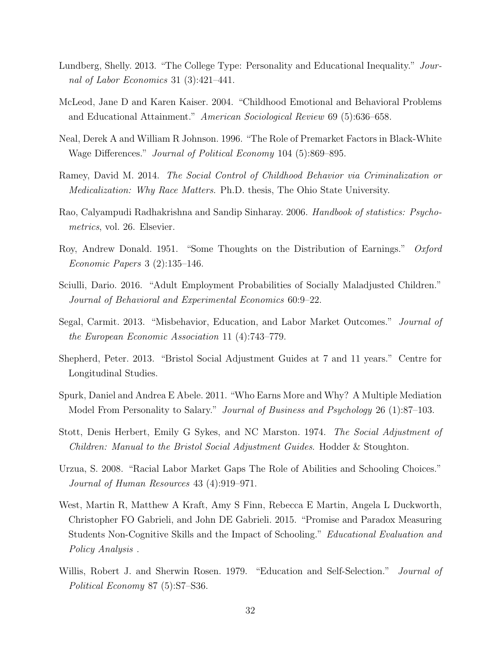- <span id="page-34-2"></span>Lundberg, Shelly. 2013. "The College Type: Personality and Educational Inequality." Journal of Labor Economics 31 (3):421–441.
- <span id="page-34-10"></span>McLeod, Jane D and Karen Kaiser. 2004. "Childhood Emotional and Behavioral Problems and Educational Attainment." American Sociological Review 69 (5):636–658.
- <span id="page-34-12"></span>Neal, Derek A and William R Johnson. 1996. "The Role of Premarket Factors in Black-White Wage Differences." Journal of Political Economy 104 (5):869–895.
- <span id="page-34-13"></span>Ramey, David M. 2014. The Social Control of Childhood Behavior via Criminalization or Medicalization: Why Race Matters. Ph.D. thesis, The Ohio State University.
- <span id="page-34-6"></span>Rao, Calyampudi Radhakrishna and Sandip Sinharay. 2006. Handbook of statistics: Psychometrics, vol. 26. Elsevier.
- <span id="page-34-1"></span>Roy, Andrew Donald. 1951. "Some Thoughts on the Distribution of Earnings." Oxford Economic Papers 3 (2):135–146.
- <span id="page-34-9"></span>Sciulli, Dario. 2016. "Adult Employment Probabilities of Socially Maladjusted Children." Journal of Behavioral and Experimental Economics 60:9–22.
- <span id="page-34-8"></span>Segal, Carmit. 2013. "Misbehavior, Education, and Labor Market Outcomes." Journal of the European Economic Association 11 (4):743–779.
- <span id="page-34-7"></span>Shepherd, Peter. 2013. "Bristol Social Adjustment Guides at 7 and 11 years." Centre for Longitudinal Studies.
- <span id="page-34-11"></span>Spurk, Daniel and Andrea E Abele. 2011. "Who Earns More and Why? A Multiple Mediation Model From Personality to Salary." Journal of Business and Psychology 26 (1):87–103.
- <span id="page-34-5"></span>Stott, Denis Herbert, Emily G Sykes, and NC Marston. 1974. The Social Adjustment of Children: Manual to the Bristol Social Adjustment Guides. Hodder & Stoughton.
- <span id="page-34-3"></span>Urzua, S. 2008. "Racial Labor Market Gaps The Role of Abilities and Schooling Choices." Journal of Human Resources 43 (4):919–971.
- <span id="page-34-4"></span>West, Martin R, Matthew A Kraft, Amy S Finn, Rebecca E Martin, Angela L Duckworth, Christopher FO Gabrieli, and John DE Gabrieli. 2015. "Promise and Paradox Measuring Students Non-Cognitive Skills and the Impact of Schooling." Educational Evaluation and Policy Analysis .
- <span id="page-34-0"></span>Willis, Robert J. and Sherwin Rosen. 1979. "Education and Self-Selection." *Journal of* Political Economy 87 (5):S7–S36.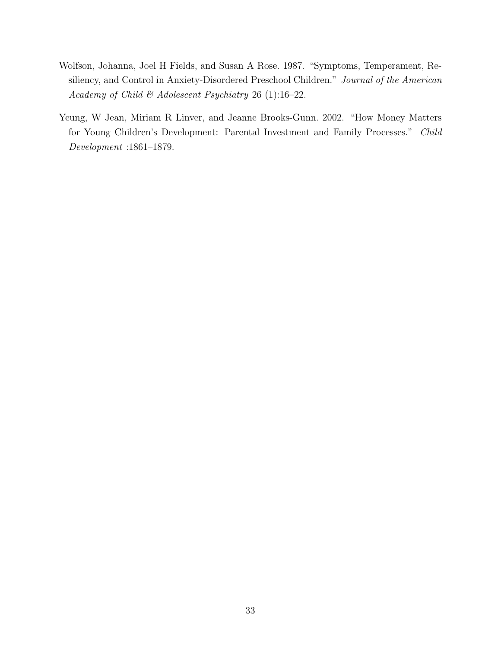- <span id="page-35-1"></span>Wolfson, Johanna, Joel H Fields, and Susan A Rose. 1987. "Symptoms, Temperament, Resiliency, and Control in Anxiety-Disordered Preschool Children." Journal of the American Academy of Child & Adolescent Psychiatry 26 (1):16-22.
- <span id="page-35-0"></span>Yeung, W Jean, Miriam R Linver, and Jeanne Brooks-Gunn. 2002. "How Money Matters for Young Children's Development: Parental Investment and Family Processes." Child Development :1861–1879.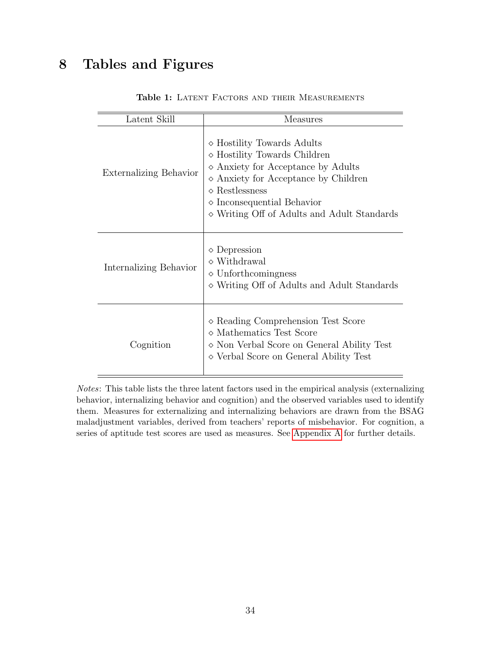# <span id="page-36-0"></span>8 Tables and Figures

| Latent Skill                  | Measures                                                                                                                                                                                                                                                                                      |
|-------------------------------|-----------------------------------------------------------------------------------------------------------------------------------------------------------------------------------------------------------------------------------------------------------------------------------------------|
| <b>Externalizing Behavior</b> | $\diamond$ Hostility Towards Adults<br>$\diamond$ Hostility Towards Children<br>$\diamond$ Anxiety for Acceptance by Adults<br>$\diamond$ Anxiety for Acceptance by Children<br>$\diamond$ Restlessness<br>$\diamond$ Inconsequential Behavior<br>◇ Writing Off of Adults and Adult Standards |
| Internalizing Behavior        | $\diamond$ Depression<br>$\diamond$ Withdrawal<br>$\diamond$ Unforthcomingness<br>$\diamond$ Writing Off of Adults and Adult Standards                                                                                                                                                        |
| Cognition                     | $\diamond$ Reading Comprehension Test Score<br>$\diamond$ Mathematics Test Score<br>$\diamond$ Non Verbal Score on General Ability Test<br>◇ Verbal Score on General Ability Test                                                                                                             |

#### Table 1: LATENT FACTORS AND THEIR MEASUREMENTS

Notes: This table lists the three latent factors used in the empirical analysis (externalizing behavior, internalizing behavior and cognition) and the observed variables used to identify them. Measures for externalizing and internalizing behaviors are drawn from the BSAG maladjustment variables, derived from teachers' reports of misbehavior. For cognition, a series of aptitude test scores are used as measures. See [Appendix A](#page--1-0) for further details.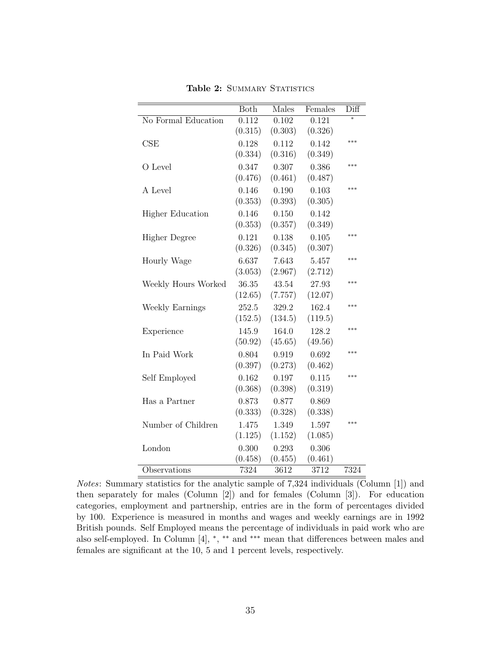<span id="page-37-0"></span>

|                         | Both    | Males   | Females | Diff   |
|-------------------------|---------|---------|---------|--------|
| No Formal Education     | 0.112   | 0.102   | 0.121   | $\ast$ |
|                         | (0.315) | (0.303) | (0.326) |        |
| CSE                     | 0.128   | 0.112   | 0.142   | ***    |
|                         | (0.334) | (0.316) | (0.349) |        |
| O Level                 | 0.347   | 0.307   | 0.386   | ***    |
|                         | (0.476) | (0.461) | (0.487) |        |
| A Level                 | 0.146   | 0.190   | 0.103   | ***    |
|                         | (0.353) | (0.393) | (0.305) |        |
| <b>Higher Education</b> | 0.146   | 0.150   | 0.142   |        |
|                         | (0.353) | (0.357) | (0.349) |        |
| <b>Higher Degree</b>    | 0.121   | 0.138   | 0.105   | $***$  |
|                         | (0.326) | (0.345) | (0.307) |        |
| Hourly Wage             | 6.637   | 7.643   | 5.457   | ***    |
|                         | (3.053) | (2.967) | (2.712) |        |
| Weekly Hours Worked     | 36.35   | 43.54   | 27.93   | ***    |
|                         | (12.65) | (7.757) | (12.07) |        |
| Weekly Earnings         | 252.5   | 329.2   | 162.4   | ***    |
|                         | (152.5) | (134.5) | (119.5) |        |
| Experience              | 145.9   | 164.0   | 128.2   | ***    |
|                         | (50.92) | (45.65) | (49.56) |        |
| In Paid Work            | 0.804   | 0.919   | 0.692   | $***$  |
|                         | (0.397) | (0.273) | (0.462) |        |
| Self Employed           | 0.162   | 0.197   | 0.115   | ***    |
|                         | (0.368) | (0.398) | (0.319) |        |
| Has a Partner           | 0.873   | 0.877   | 0.869   |        |
|                         | (0.333) | (0.328) | (0.338) |        |
| Number of Children      | 1.475   | 1.349   | 1.597   | $***$  |
|                         | (1.125) | (1.152) | (1.085) |        |
| London                  | 0.300   | 0.293   | 0.306   |        |
|                         | (0.458) | (0.455) | (0.461) |        |
| Observations            | 7324    | 3612    | 3712    | 7324   |

Table 2: SUMMARY STATISTICS

Notes: Summary statistics for the analytic sample of 7,324 individuals (Column [1]) and then separately for males (Column [2]) and for females (Column [3]). For education categories, employment and partnership, entries are in the form of percentages divided by 100. Experience is measured in months and wages and weekly earnings are in 1992 British pounds. Self Employed means the percentage of individuals in paid work who are also self-employed. In Column [4], <sup>∗</sup> , ∗∗ and ∗∗∗ mean that differences between males and females are significant at the 10, 5 and 1 percent levels, respectively.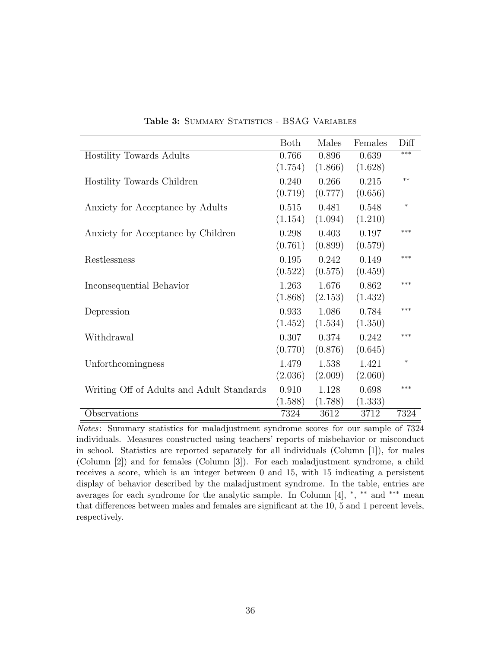<span id="page-38-0"></span>

|                                           | <b>Both</b> | Males   | Females | Diff   |
|-------------------------------------------|-------------|---------|---------|--------|
| Hostility Towards Adults                  | 0.766       | 0.896   | 0.639   | ***    |
|                                           | (1.754)     | (1.866) | (1.628) |        |
| Hostility Towards Children                | 0.240       | 0.266   | 0.215   | $**$   |
|                                           | (0.719)     | (0.777) | (0.656) |        |
| Anxiety for Acceptance by Adults          | 0.515       | 0.481   | 0.548   | $\ast$ |
|                                           | (1.154)     | (1.094) | (1.210) |        |
| Anxiety for Acceptance by Children        | 0.298       | 0.403   | 0.197   | ***    |
|                                           | (0.761)     | (0.899) | (0.579) |        |
| Restlessness                              | 0.195       | 0.242   | 0.149   | ***    |
|                                           | (0.522)     | (0.575) | (0.459) |        |
| Inconsequential Behavior                  | 1.263       | 1.676   | 0.862   | ***    |
|                                           | (1.868)     | (2.153) | (1.432) |        |
| Depression                                | 0.933       | 1.086   | 0.784   | ***    |
|                                           | (1.452)     | (1.534) | (1.350) |        |
| Withdrawal                                | 0.307       | 0.374   | 0.242   | ***    |
|                                           | (0.770)     | (0.876) | (0.645) |        |
| Unforthcomingness                         | 1.479       | 1.538   | 1.421   | $\ast$ |
|                                           | (2.036)     | (2.009) | (2.060) |        |
|                                           |             |         |         | ***    |
| Writing Off of Adults and Adult Standards | 0.910       | 1.128   | 0.698   |        |
|                                           | (1.588)     | (1.788) | (1.333) |        |
| Observations                              | 7324        | 3612    | 3712    | 7324   |

Table 3: SUMMARY STATISTICS - BSAG VARIABLES

Notes: Summary statistics for maladjustment syndrome scores for our sample of 7324 individuals. Measures constructed using teachers' reports of misbehavior or misconduct in school. Statistics are reported separately for all individuals (Column [1]), for males (Column [2]) and for females (Column [3]). For each maladjustment syndrome, a child receives a score, which is an integer between 0 and 15, with 15 indicating a persistent display of behavior described by the maladjustment syndrome. In the table, entries are averages for each syndrome for the analytic sample. In Column [4], \*, \*\* and \*\*\* mean that differences between males and females are significant at the 10, 5 and 1 percent levels, respectively.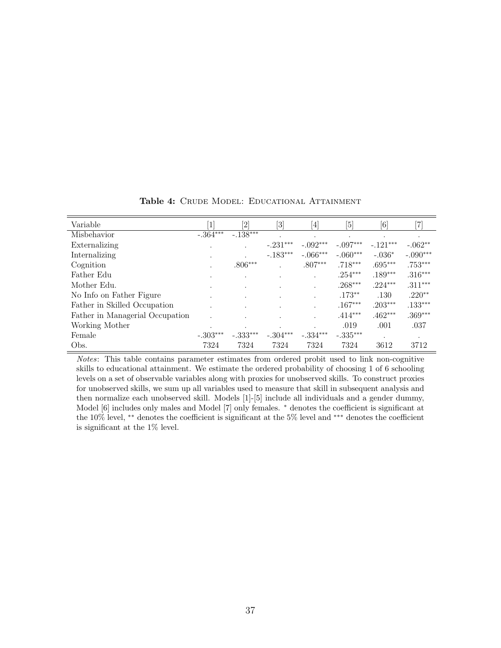<span id="page-39-0"></span>

| Variable                        | $\overline{1}$ | $\left[2\right]$ | $[3] % \includegraphics[width=0.9\columnwidth]{figures/fig_1a} \caption{Schematic diagram of the top of the top of the top of the right.} \label{fig:1} %$ | $[4] \centering% \includegraphics[width=1\textwidth]{images/TransY.pdf}% \caption{The figure shows the results of the estimators in the left and right. The left and right is the same as in the right.} \label{fig:class}$ | [5]        | $[6] % \includegraphics[width=0.9\columnwidth]{figures/fig_0.pdf} \caption{A small number of samples of the estimators in the left panel. The blue line shows the number of samples of the two different times, and the blue line shows the number of samples of the two different times, respectively.} \label{fig:time_vs_s}$ | $\left[ 7\right]$ |
|---------------------------------|----------------|------------------|------------------------------------------------------------------------------------------------------------------------------------------------------------|-----------------------------------------------------------------------------------------------------------------------------------------------------------------------------------------------------------------------------|------------|---------------------------------------------------------------------------------------------------------------------------------------------------------------------------------------------------------------------------------------------------------------------------------------------------------------------------------|-------------------|
| Misbehavior                     | $-.364***$     | $-.138***$       |                                                                                                                                                            |                                                                                                                                                                                                                             |            |                                                                                                                                                                                                                                                                                                                                 |                   |
| Externalizing                   |                |                  | $-.231***$                                                                                                                                                 | $-.092***$                                                                                                                                                                                                                  | $-.097***$ | $-.121***$                                                                                                                                                                                                                                                                                                                      | $-.062**$         |
| Internalizing                   |                |                  | $-.183***$                                                                                                                                                 | $-.066***$                                                                                                                                                                                                                  | $-.060***$ | $-.036*$                                                                                                                                                                                                                                                                                                                        | $-.090***$        |
| Cognition                       |                | $.806***$        |                                                                                                                                                            | $.807***$                                                                                                                                                                                                                   | $.718***$  | $.695***$                                                                                                                                                                                                                                                                                                                       | $.753***$         |
| Father Edu                      | ٠              |                  |                                                                                                                                                            |                                                                                                                                                                                                                             | $.254***$  | $.189***$                                                                                                                                                                                                                                                                                                                       | $.316***$         |
| Mother Edu.                     |                |                  |                                                                                                                                                            |                                                                                                                                                                                                                             | $.268***$  | $.224***$                                                                                                                                                                                                                                                                                                                       | $.311***$         |
| No Info on Father Figure        |                |                  |                                                                                                                                                            |                                                                                                                                                                                                                             | $.173**$   | .130                                                                                                                                                                                                                                                                                                                            | $.220**$          |
| Father in Skilled Occupation    |                |                  |                                                                                                                                                            |                                                                                                                                                                                                                             | $.167***$  | $.203***$                                                                                                                                                                                                                                                                                                                       | $.133***$         |
| Father in Managerial Occupation |                |                  |                                                                                                                                                            |                                                                                                                                                                                                                             | $.414***$  | $.462***$                                                                                                                                                                                                                                                                                                                       | $.369***$         |
| Working Mother                  | $\cdot$        | ٠                |                                                                                                                                                            |                                                                                                                                                                                                                             | .019       | .001                                                                                                                                                                                                                                                                                                                            | .037              |
| Female                          | $-.303***$     | $-.333***$       | $-.304***$                                                                                                                                                 | $-.334***$                                                                                                                                                                                                                  | $-.335***$ |                                                                                                                                                                                                                                                                                                                                 |                   |
| Obs.                            | 7324           | 7324             | 7324                                                                                                                                                       | 7324                                                                                                                                                                                                                        | 7324       | 3612                                                                                                                                                                                                                                                                                                                            | 3712              |

Table 4: CRUDE MODEL: EDUCATIONAL ATTAINMENT

Notes: This table contains parameter estimates from ordered probit used to link non-cognitive skills to educational attainment. We estimate the ordered probability of choosing 1 of 6 schooling levels on a set of observable variables along with proxies for unobserved skills. To construct proxies for unobserved skills, we sum up all variables used to measure that skill in subsequent analysis and then normalize each unobserved skill. Models [1]-[5] include all individuals and a gender dummy, Model [6] includes only males and Model [7] only females. <sup>∗</sup> denotes the coefficient is significant at the 10% level, ∗∗ denotes the coefficient is significant at the 5% level and ∗∗∗ denotes the coefficient is significant at the 1% level.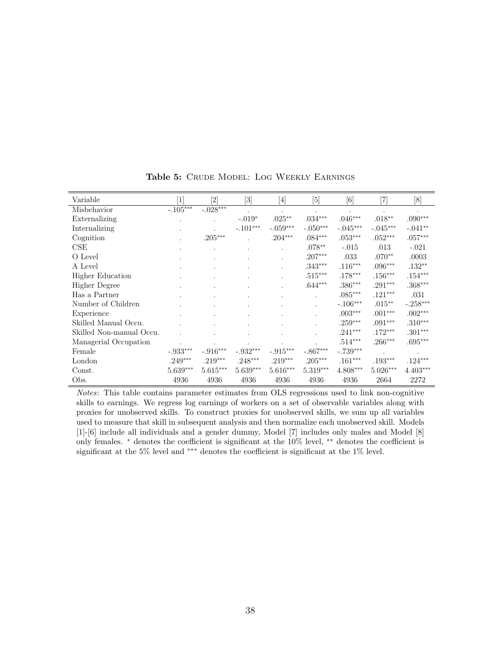<span id="page-40-0"></span>

| Variable                 | $\lceil 1 \rceil$ | [2]                    | $[3]$           | [4]                  | [5]        | [6]        |            | [8]                  |
|--------------------------|-------------------|------------------------|-----------------|----------------------|------------|------------|------------|----------------------|
| Misbehavior              | $-.105***$        | $-.028***$             |                 |                      | $\bullet$  |            | $\bullet$  | $\ddot{\phantom{0}}$ |
| Externalizing            |                   |                        | $-.019*$        | $.025**$             | $.034***$  | $.046***$  | $.018**$   | $.090***$            |
| Internalizing            |                   |                        | $-.101***$      | $-.059***$           | $-.050***$ | $-.045***$ | $-.045***$ | $-.041**$            |
| Cognition                |                   | $.205***$              |                 | $.204***$            | $.084***$  | $.053***$  | $.052***$  | $.057***$            |
| CSE                      |                   |                        |                 |                      | $.078**$   | $-.015$    | .013       | $-.021$              |
| O Level                  |                   |                        |                 | $\ddot{\phantom{a}}$ | $.207***$  | .033       | $.070**$   | .0003                |
| A Level                  |                   |                        |                 |                      | $.343***$  | $.116***$  | $.096***$  | $.132**$             |
| Higher Education         |                   |                        |                 |                      | $.515***$  | $.178***$  | $.156***$  | $.154***$            |
| <b>Higher Degree</b>     |                   |                        |                 |                      | $.644***$  | $.386***$  | $.291***$  | $.368***$            |
| Has a Partner            |                   |                        |                 |                      |            | $.085***$  | $.121***$  | .031                 |
| Number of Children       |                   |                        |                 |                      |            | $-.106***$ | $.015***$  | $-.258***$           |
| Experience               |                   |                        |                 |                      |            | $.003***$  | $.001***$  | $.002***$            |
| Skilled Manual Occu.     |                   |                        |                 |                      |            | $.259***$  | $.091***$  | $.310***$            |
| Skilled Non-manual Occu. |                   |                        |                 |                      |            | $.241***$  | $.172***$  | $.301***$            |
| Managerial Occupation    |                   |                        |                 |                      |            | $.514***$  | $.266***$  | $.695***$            |
| Female                   | $-.933***$        | $-.916^{\ast\ast\ast}$ | $-.932^{***}\,$ | $-.915***$           | $-.867***$ | $-.739***$ |            |                      |
| London                   | $.249***$         | $.219***$              | $.248***$       | $.219***$            | $.205***$  | $.161***$  | $.193***$  | $.124***$            |
| Const.                   | 5.639***          | $5.615***$             | $5.639***$      | $5.616***$           | $5.319***$ | $4.808***$ | $5.026***$ | $4.403***$           |
| Obs.                     | 4936              | 4936                   | 4936            | 4936                 | 4936       | 4936       | 2664       | 2272                 |

Table 5: CRUDE MODEL: LOG WEEKLY EARNINGS

Notes: This table contains parameter estimates from OLS regressions used to link non-cognitive skills to earnings. We regress log earnings of workers on a set of observable variables along with proxies for unobserved skills. To construct proxies for unobserved skills, we sum up all variables used to measure that skill in subsequent analysis and then normalize each unobserved skill. Models [1]-[6] include all individuals and a gender dummy, Model [7] includes only males and Model [8] only females. <sup>∗</sup> denotes the coefficient is significant at the 10% level, ∗∗ denotes the coefficient is significant at the 5% level and ∗∗∗ denotes the coefficient is significant at the 1% level.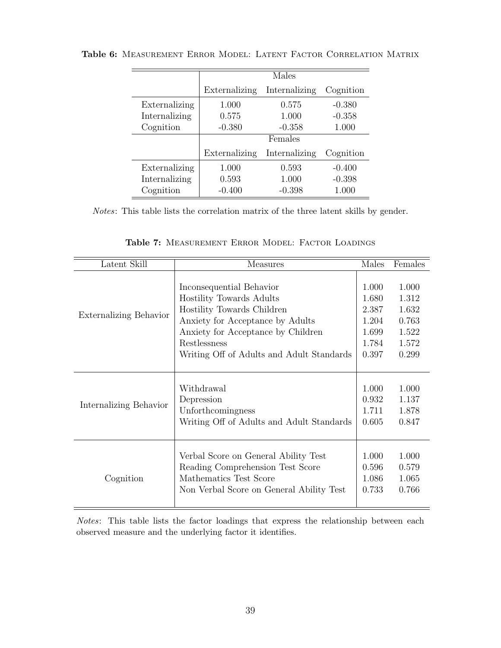|               |               | Males         |           |
|---------------|---------------|---------------|-----------|
|               | Externalizing | Internalizing | Cognition |
| Externalizing | 1.000         | 0.575         | $-0.380$  |
| Internalizing | 0.575         | 1.000         | $-0.358$  |
| Cognition     | $-0.380$      | $-0.358$      | 1.000     |
|               |               | Females       |           |
|               | Externalizing | Internalizing | Cognition |
| Externalizing | 1.000         | 0.593         | $-0.400$  |
| Internalizing | 0.593         | 1.000         | $-0.398$  |
| Cognition     | $-0.400$      | $-0.398$      | 1.000     |

<span id="page-41-0"></span>Table 6: Measurement Error Model: Latent Factor Correlation Matrix

Notes: This table lists the correlation matrix of the three latent skills by gender.

<span id="page-41-1"></span>

| Latent Skill                  | Measures                                  | Males | Females |
|-------------------------------|-------------------------------------------|-------|---------|
| <b>Externalizing Behavior</b> | Inconsequential Behavior                  | 1.000 | 1.000   |
|                               | Hostility Towards Adults                  | 1.680 | 1.312   |
|                               | Hostility Towards Children                | 2.387 | 1.632   |
|                               | Anxiety for Acceptance by Adults          | 1.204 | 0.763   |
|                               | Anxiety for Acceptance by Children        | 1.699 | 1.522   |
|                               | Restlessness                              | 1.784 | 1.572   |
|                               | Writing Off of Adults and Adult Standards | 0.397 | 0.299   |
| Internalizing Behavior        | Withdrawal                                | 1.000 | 1.000   |
|                               | Depression                                | 0.932 | 1.137   |
|                               | Unforthcomingness                         | 1.711 | 1.878   |
|                               | Writing Off of Adults and Adult Standards | 0.605 | 0.847   |
| Cognition                     | Verbal Score on General Ability Test      | 1.000 | 1.000   |
|                               | Reading Comprehension Test Score          | 0.596 | 0.579   |
|                               | Mathematics Test Score                    | 1.086 | 1.065   |
|                               | Non Verbal Score on General Ability Test  | 0.733 | 0.766   |

Table 7: Measurement Error Model: Factor Loadings

Notes: This table lists the factor loadings that express the relationship between each observed measure and the underlying factor it identifies.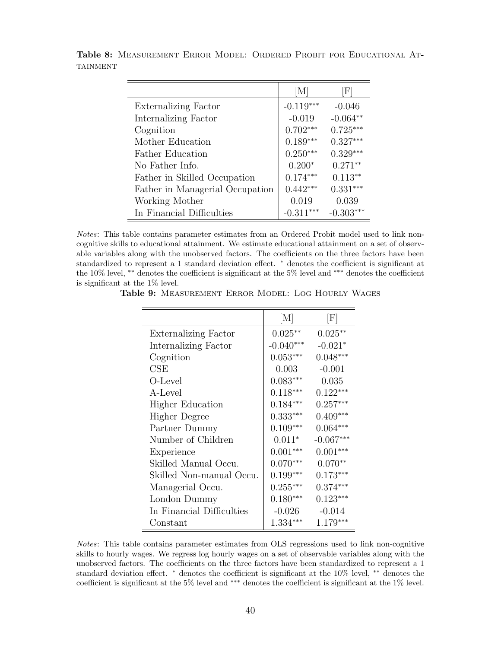|                                 | $\vert M \vert$ | $\left[ \mathrm{F} \right]$ |
|---------------------------------|-----------------|-----------------------------|
| Externalizing Factor            | $-0.119***$     | $-0.046$                    |
| Internalizing Factor            | $-0.019$        | $-0.064**$                  |
| Cognition                       | $0.702***$      | $0.725***$                  |
| Mother Education                | $0.189***$      | $0.327***$                  |
| <b>Father Education</b>         | $0.250***$      | $0.329***$                  |
| No Father Info.                 | $0.200*$        | $0.271**$                   |
| Father in Skilled Occupation    | $0.174***$      | $0.113**$                   |
| Father in Managerial Occupation | $0.442***$      | $0.331***$                  |
| Working Mother                  | 0.019           | 0.039                       |
| In Financial Difficulties       | $-0.311***$     | $-0.303***$                 |

<span id="page-42-0"></span>Table 8: Measurement Error Model: Ordered Probit for Educational At-**TAINMENT** 

Notes: This table contains parameter estimates from an Ordered Probit model used to link noncognitive skills to educational attainment. We estimate educational attainment on a set of observable variables along with the unobserved factors. The coefficients on the three factors have been standardized to represent a 1 standard deviation effect. <sup>∗</sup> denotes the coefficient is significant at the 10% level, ∗∗ denotes the coefficient is significant at the 5% level and ∗∗∗ denotes the coefficient is significant at the 1% level.

<span id="page-42-1"></span>Table 9: Measurement Error Model: Log Hourly Wages

|                           | M           | $ \mathrm{F} $ |
|---------------------------|-------------|----------------|
| Externalizing Factor      | $0.025**$   | $0.025**$      |
| Internalizing Factor      | $-0.040***$ | $-0.021*$      |
| Cognition                 | $0.053***$  | $0.048***$     |
| CSE                       | 0.003       | $-0.001$       |
| O-Level                   | $0.083***$  | 0.035          |
| A-Level                   | $0.118***$  | $0.122***$     |
| <b>Higher Education</b>   | $0.184***$  | $0.257***$     |
| Higher Degree             | $0.333***$  | $0.409***$     |
| Partner Dummy             | $0.109***$  | $0.064***$     |
| Number of Children        | $0.011*$    | $-0.067***$    |
| Experience                | $0.001***$  | $0.001***$     |
| Skilled Manual Occu.      | $0.070***$  | $0.070**$      |
| Skilled Non-manual Occu.  | $0.199***$  | $0.173***$     |
| Managerial Occu.          | $0.255***$  | $0.374***$     |
| London Dummy              | $0.180***$  | $0.123***$     |
| In Financial Difficulties | $-0.026$    | $-0.014$       |
| Constant                  | $1.334***$  | $1.179***$     |

Notes: This table contains parameter estimates from OLS regressions used to link non-cognitive skills to hourly wages. We regress log hourly wages on a set of observable variables along with the unobserved factors. The coefficients on the three factors have been standardized to represent a 1 standard deviation effect. <sup>∗</sup> denotes the coefficient is significant at the 10% level, ∗∗ denotes the coefficient is significant at the 5% level and ∗∗∗ denotes the coefficient is significant at the 1% level.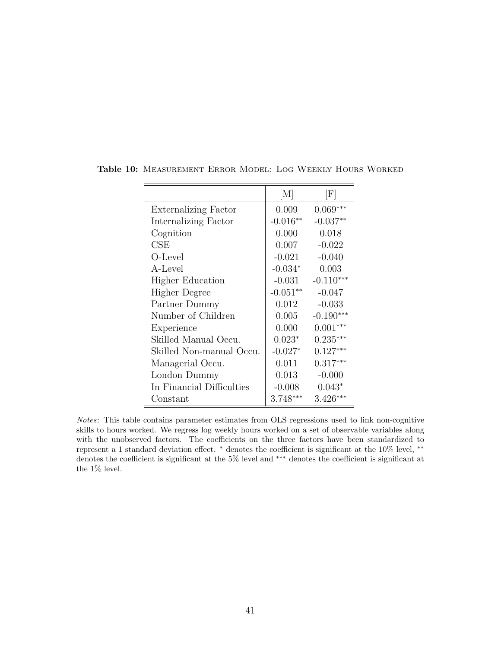|                           | M          | $ \mathrm{F} $ |
|---------------------------|------------|----------------|
| Externalizing Factor      | 0.009      | $0.069***$     |
| Internalizing Factor      | $-0.016**$ | $-0.037**$     |
| Cognition                 | 0.000      | 0.018          |
| $\rm CSE$                 | 0.007      | $-0.022$       |
| O-Level                   | $-0.021$   | $-0.040$       |
| A-Level                   | $-0.034*$  | 0.003          |
| <b>Higher Education</b>   | $-0.031$   | $-0.110***$    |
| Higher Degree             | $-0.051**$ | $-0.047$       |
| Partner Dummy             | 0.012      | $-0.033$       |
| Number of Children        | 0.005      | $-0.190***$    |
| Experience                | 0.000      | $0.001***$     |
| Skilled Manual Occu.      | $0.023*$   | $0.235***$     |
| Skilled Non-manual Occu.  | $-0.027*$  | $0.127***$     |
| Managerial Occu.          | 0.011      | $0.317***$     |
| London Dummy              | 0.013      | $-0.000$       |
| In Financial Difficulties | $-0.008$   | $0.043*$       |
| Constant                  | $3.748***$ | $3.426***$     |

<span id="page-43-0"></span>Table 10: Measurement Error Model: Log Weekly Hours Worked

Notes: This table contains parameter estimates from OLS regressions used to link non-cognitive skills to hours worked. We regress log weekly hours worked on a set of observable variables along with the unobserved factors. The coefficients on the three factors have been standardized to represent a 1 standard deviation effect. <sup>∗</sup> denotes the coefficient is significant at the 10% level, ∗∗ denotes the coefficient is significant at the 5% level and ∗∗∗ denotes the coefficient is significant at the 1% level.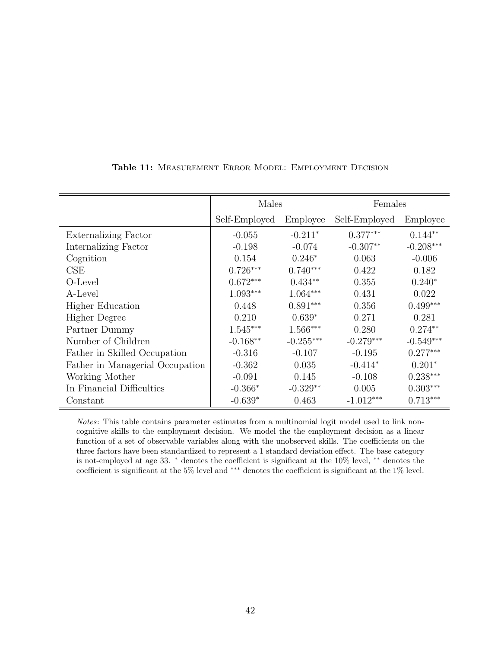<span id="page-44-0"></span>

|                                 | Males         |             | Females       |             |  |
|---------------------------------|---------------|-------------|---------------|-------------|--|
|                                 | Self-Employed | Employee    | Self-Employed | Employee    |  |
| Externalizing Factor            | $-0.055$      | $-0.211*$   | $0.377***$    | $0.144**$   |  |
| Internalizing Factor            | $-0.198$      | $-0.074$    | $-0.307**$    | $-0.208***$ |  |
| Cognition                       | 0.154         | $0.246*$    | 0.063         | $-0.006$    |  |
| CSE                             | $0.726***$    | $0.740***$  | 0.422         | 0.182       |  |
| O-Level                         | $0.672***$    | $0.434**$   | 0.355         | $0.240*$    |  |
| A-Level                         | $1.093***$    | $1.064***$  | 0.431         | 0.022       |  |
| <b>Higher Education</b>         | 0.448         | $0.891***$  | 0.356         | $0.499***$  |  |
| <b>Higher Degree</b>            | 0.210         | $0.639*$    | 0.271         | 0.281       |  |
| Partner Dummy                   | $1.545***$    | $1.566***$  | 0.280         | $0.274**$   |  |
| Number of Children              | $-0.168**$    | $-0.255***$ | $-0.279***$   | $-0.549***$ |  |
| Father in Skilled Occupation    | $-0.316$      | $-0.107$    | $-0.195$      | $0.277***$  |  |
| Father in Managerial Occupation | $-0.362$      | 0.035       | $-0.414*$     | $0.201*$    |  |
| Working Mother                  | $-0.091$      | 0.145       | $-0.108$      | $0.238***$  |  |
| In Financial Difficulties       | $-0.366*$     | $-0.329**$  | 0.005         | $0.303***$  |  |
| Constant                        | $-0.639*$     | 0.463       | $-1.012***$   | $0.713***$  |  |

#### Table 11: Measurement Error Model: Employment Decision

Notes: This table contains parameter estimates from a multinomial logit model used to link noncognitive skills to the employment decision. We model the the employment decision as a linear function of a set of observable variables along with the unobserved skills. The coefficients on the three factors have been standardized to represent a 1 standard deviation effect. The base category is not-employed at age 33. <sup>∗</sup> denotes the coefficient is significant at the 10% level, ∗∗ denotes the coefficient is significant at the 5% level and ∗∗∗ denotes the coefficient is significant at the 1% level.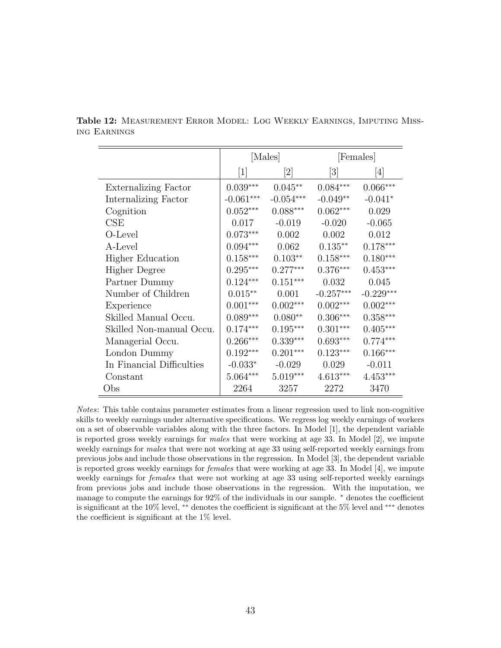|                             | [Males]                      |                                                                                                                                                                                  |                              | [Females]              |
|-----------------------------|------------------------------|----------------------------------------------------------------------------------------------------------------------------------------------------------------------------------|------------------------------|------------------------|
|                             | $\left\lceil 1 \right\rceil$ | $[2] % \includegraphics[width=1\textwidth]{images/TrDiM-Architecture.png} \caption{The figure shows the number of parameters in the left and right.} \label{TrDiM-Architecture}$ | $\left\lceil 3 \right\rceil$ | [4]                    |
| <b>Externalizing Factor</b> | $0.039***$                   | $0.045**$                                                                                                                                                                        | $0.084***$                   | $0.066***$             |
| Internalizing Factor        | $-0.061***$                  | $-0.054***$                                                                                                                                                                      | $-0.049**$                   | $-0.041*$              |
| Cognition                   | $0.052***$                   | $0.088***$                                                                                                                                                                       | $0.062***$                   | 0.029                  |
| CSE                         | 0.017                        | $-0.019$                                                                                                                                                                         | $-0.020$                     | $-0.065$               |
| O-Level                     | $0.073***$                   | 0.002                                                                                                                                                                            | 0.002                        | 0.012                  |
| A-Level                     | $0.094***$                   | 0.062                                                                                                                                                                            | $0.135**$                    | $0.178***$             |
| <b>Higher Education</b>     | $0.158***$                   | $0.103**$                                                                                                                                                                        | $0.158^{\ast\ast\ast}$       | $0.180***$             |
| Higher Degree               | $0.295***$                   | $0.277***$                                                                                                                                                                       | $0.376***$                   | $0.453***$             |
| Partner Dummy               | $0.124***$                   | $0.151***$                                                                                                                                                                       | 0.032                        | 0.045                  |
| Number of Children          | $0.015***$                   | 0.001                                                                                                                                                                            | $-0.257***$                  | $-0.229***$            |
| Experience                  | $0.001***$                   | $0.002***$                                                                                                                                                                       | $0.002***$                   | $0.002***$             |
| Skilled Manual Occu.        | $0.089***$                   | $0.080**$                                                                                                                                                                        | $0.306***$                   | $0.358^{\ast\ast\ast}$ |
| Skilled Non-manual Occu.    | $0.174***$                   | $0.195***$                                                                                                                                                                       | $0.301***$                   | $0.405***$             |
| Managerial Occu.            | $0.266***$                   | $0.339***$                                                                                                                                                                       | $0.693***$                   | $0.774***$             |
| London Dummy                | $0.192***$                   | $0.201***$                                                                                                                                                                       | $0.123***$                   | $0.166***$             |
| In Financial Difficulties   | $-0.033*$                    | $-0.029$                                                                                                                                                                         | 0.029                        | $-0.011$               |
| Constant                    | $5.064***$                   | $5.019***$                                                                                                                                                                       | $4.613***$                   | $4.453***$             |
| Obs                         | 2264                         | 3257                                                                                                                                                                             | 2272                         | 3470                   |

<span id="page-45-0"></span>Table 12: Measurement Error Model: Log Weekly Earnings, Imputing Missing Earnings

Notes: This table contains parameter estimates from a linear regression used to link non-cognitive skills to weekly earnings under alternative specifications. We regress log weekly earnings of workers on a set of observable variables along with the three factors. In Model [1], the dependent variable is reported gross weekly earnings for males that were working at age 33. In Model [2], we impute weekly earnings for males that were not working at age 33 using self-reported weekly earnings from previous jobs and include those observations in the regression. In Model [3], the dependent variable is reported gross weekly earnings for females that were working at age 33. In Model [4], we impute weekly earnings for females that were not working at age 33 using self-reported weekly earnings from previous jobs and include those observations in the regression. With the imputation, we manage to compute the earnings for 92% of the individuals in our sample. <sup>∗</sup> denotes the coefficient is significant at the 10% level, ∗∗ denotes the coefficient is significant at the 5% level and ∗∗∗ denotes the coefficient is significant at the 1% level.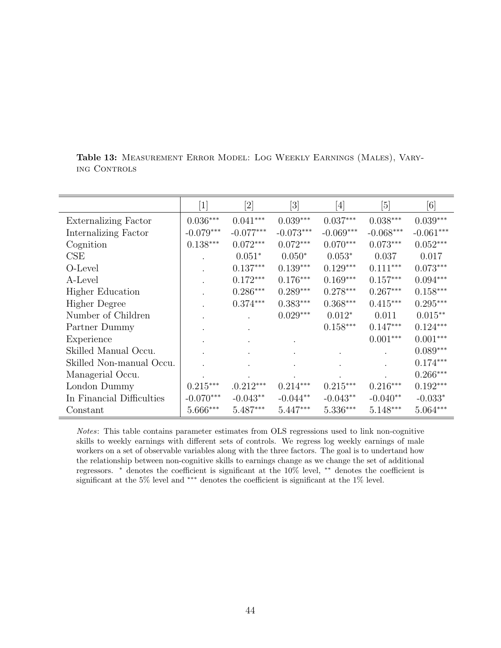|                           | $\boxed{1}$ | $[2] % \includegraphics[width=0.9\columnwidth]{figures/fig_1a} \caption{Schematic diagram of the top of the top of the top of the right.} \label{fig:1} %$ | $[3] % \includegraphics[width=0.9\columnwidth]{figures/fig_1a} \caption{Schematic diagram of the top of the top of the top of the right.} \label{fig:1} %$ | $[4] % \includegraphics[width=1\textwidth]{images/TrDiM-Architecture.png} \caption{The figure shows the results of the estimators in the left hand side.} \label{TrDiM-Architecture}$ | [5]         | $\left[ 6\right]$ |
|---------------------------|-------------|------------------------------------------------------------------------------------------------------------------------------------------------------------|------------------------------------------------------------------------------------------------------------------------------------------------------------|---------------------------------------------------------------------------------------------------------------------------------------------------------------------------------------|-------------|-------------------|
| Externalizing Factor      | $0.036***$  | $0.041***$                                                                                                                                                 | $0.039***$                                                                                                                                                 | $0.037***$                                                                                                                                                                            | $0.038***$  | $0.039***$        |
| Internalizing Factor      | $-0.079***$ | $-0.077***$                                                                                                                                                | $-0.073***$                                                                                                                                                | $-0.069***$                                                                                                                                                                           | $-0.068***$ | $-0.061***$       |
| Cognition                 | $0.138***$  | $0.072***$                                                                                                                                                 | $0.072***$                                                                                                                                                 | $0.070***$                                                                                                                                                                            | $0.073***$  | $0.052***$        |
| CSE                       |             | $0.051*$                                                                                                                                                   | $0.050*$                                                                                                                                                   | $0.053*$                                                                                                                                                                              | 0.037       | 0.017             |
| O-Level                   |             | $0.137***$                                                                                                                                                 | $0.139***$                                                                                                                                                 | $0.129***$                                                                                                                                                                            | $0.111***$  | $0.073***$        |
| A-Level                   |             | $0.172***$                                                                                                                                                 | $0.176***$                                                                                                                                                 | $0.169***$                                                                                                                                                                            | $0.157***$  | $0.094***$        |
| <b>Higher Education</b>   |             | $0.286***$                                                                                                                                                 | $0.289***$                                                                                                                                                 | $0.278***$                                                                                                                                                                            | $0.267***$  | $0.158***$        |
| Higher Degree             |             | $0.374***$                                                                                                                                                 | $0.383***$                                                                                                                                                 | $0.368***$                                                                                                                                                                            | $0.415***$  | $0.295***$        |
| Number of Children        |             |                                                                                                                                                            | $0.029***$                                                                                                                                                 | $0.012*$                                                                                                                                                                              | 0.011       | $0.015***$        |
| Partner Dummy             |             |                                                                                                                                                            |                                                                                                                                                            | $0.158***$                                                                                                                                                                            | $0.147***$  | $0.124***$        |
| Experience                |             |                                                                                                                                                            |                                                                                                                                                            |                                                                                                                                                                                       | $0.001***$  | $0.001***$        |
| Skilled Manual Occu.      |             |                                                                                                                                                            |                                                                                                                                                            |                                                                                                                                                                                       |             | $0.089***$        |
| Skilled Non-manual Occu.  |             |                                                                                                                                                            |                                                                                                                                                            |                                                                                                                                                                                       |             | $0.174***$        |
| Managerial Occu.          |             |                                                                                                                                                            |                                                                                                                                                            |                                                                                                                                                                                       |             | $0.266***$        |
| London Dummy              | $0.215***$  | $.0.212***$                                                                                                                                                | $0.214***$                                                                                                                                                 | $0.215***$                                                                                                                                                                            | $0.216***$  | $0.192***$        |
| In Financial Difficulties | $-0.070***$ | $-0.043**$                                                                                                                                                 | $-0.044**$                                                                                                                                                 | $-0.043**$                                                                                                                                                                            | $-0.040**$  | $-0.033*$         |
| Constant                  | $5.666***$  | $5.487***$                                                                                                                                                 | $5.447***$                                                                                                                                                 | $5.336***$                                                                                                                                                                            | $5.148***$  | $5.064***$        |

<span id="page-46-0"></span>Table 13: Measurement Error Model: Log Weekly Earnings (Males), Vary-ING CONTROLS

Notes: This table contains parameter estimates from OLS regressions used to link non-cognitive skills to weekly earnings with different sets of controls. We regress log weekly earnings of male workers on a set of observable variables along with the three factors. The goal is to undertand how the relationship between non-cognitive skills to earnings change as we change the set of additional regressors. <sup>∗</sup> denotes the coefficient is significant at the 10% level, ∗∗ denotes the coefficient is significant at the 5% level and <sup>∗</sup><sup>∗</sup>\* denotes the coefficient is significant at the 1% level.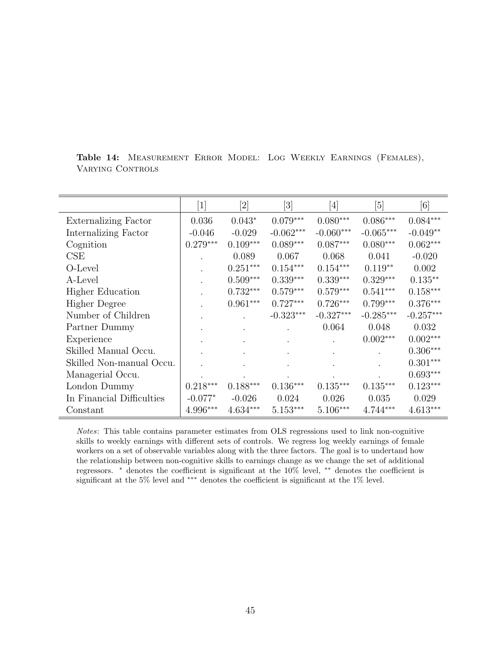|                             | $\lceil 1 \rceil$ | [2]        | $\lceil 3 \rceil$ | $[4] % \includegraphics[width=1\textwidth]{images/TrDiM-Architecture.png} \caption{The figure shows the results of the estimators in the left hand side.} \label{TrDiM-Architecture}$ | [5]         | $[6] % \includegraphics[width=0.9\columnwidth]{figures/fig_0.pdf} \caption{A small number of samples of the estimators in the left panel. The blue line shows the number of samples of the two different times, and the blue line shows the number of samples of the two different times, respectively.} \label{fig:time_vs_s}$ |
|-----------------------------|-------------------|------------|-------------------|---------------------------------------------------------------------------------------------------------------------------------------------------------------------------------------|-------------|---------------------------------------------------------------------------------------------------------------------------------------------------------------------------------------------------------------------------------------------------------------------------------------------------------------------------------|
| <b>Externalizing Factor</b> | 0.036             | $0.043*$   | $0.079***$        | $0.080***$                                                                                                                                                                            | $0.086***$  | $0.084***$                                                                                                                                                                                                                                                                                                                      |
| Internalizing Factor        | $-0.046$          | $-0.029$   | $-0.062***$       | $-0.060***$                                                                                                                                                                           | $-0.065***$ | $-0.049**$                                                                                                                                                                                                                                                                                                                      |
| Cognition                   | $0.279***$        | $0.109***$ | $0.089***$        | $0.087***$                                                                                                                                                                            | $0.080***$  | $0.062***$                                                                                                                                                                                                                                                                                                                      |
| CSE                         |                   | 0.089      | 0.067             | 0.068                                                                                                                                                                                 | 0.041       | $-0.020$                                                                                                                                                                                                                                                                                                                        |
| O-Level                     |                   | $0.251***$ | $0.154***$        | $0.154***$                                                                                                                                                                            | $0.119**$   | 0.002                                                                                                                                                                                                                                                                                                                           |
| A-Level                     |                   | $0.509***$ | $0.339***$        | $0.339***$                                                                                                                                                                            | $0.329***$  | $0.135***$                                                                                                                                                                                                                                                                                                                      |
| <b>Higher Education</b>     |                   | $0.732***$ | $0.579***$        | $0.579***$                                                                                                                                                                            | $0.541***$  | $0.158^{\ast\ast\ast}$                                                                                                                                                                                                                                                                                                          |
| <b>Higher Degree</b>        |                   | $0.961***$ | $0.727***$        | $0.726***$                                                                                                                                                                            | $0.799***$  | $0.376***$                                                                                                                                                                                                                                                                                                                      |
| Number of Children          |                   |            | $-0.323***$       | $-0.327***$                                                                                                                                                                           | $-0.285***$ | $-0.257***$                                                                                                                                                                                                                                                                                                                     |
| Partner Dummy               |                   |            |                   | 0.064                                                                                                                                                                                 | 0.048       | 0.032                                                                                                                                                                                                                                                                                                                           |
| Experience                  |                   |            |                   |                                                                                                                                                                                       | $0.002***$  | $0.002***$                                                                                                                                                                                                                                                                                                                      |
| Skilled Manual Occu.        |                   |            |                   |                                                                                                                                                                                       |             | $0.306***$                                                                                                                                                                                                                                                                                                                      |
| Skilled Non-manual Occu.    |                   |            |                   |                                                                                                                                                                                       |             | $0.301***$                                                                                                                                                                                                                                                                                                                      |
| Managerial Occu.            |                   |            |                   |                                                                                                                                                                                       |             | $0.693***$                                                                                                                                                                                                                                                                                                                      |
| London Dummy                | $0.218***$        | $0.188***$ | $0.136***$        | $0.135***$                                                                                                                                                                            | $0.135***$  | $0.123***$                                                                                                                                                                                                                                                                                                                      |
| In Financial Difficulties   | $-0.077*$         | $-0.026$   | 0.024             | 0.026                                                                                                                                                                                 | 0.035       | 0.029                                                                                                                                                                                                                                                                                                                           |
| Constant                    | 4.996***          | $4.634***$ | $5.153***$        | $5.106***$                                                                                                                                                                            | $4.744***$  | $4.613***$                                                                                                                                                                                                                                                                                                                      |

<span id="page-47-0"></span>Table 14: Measurement Error Model: Log Weekly Earnings (Females), VARYING CONTROLS

Notes: This table contains parameter estimates from OLS regressions used to link non-cognitive skills to weekly earnings with different sets of controls. We regress log weekly earnings of female workers on a set of observable variables along with the three factors. The goal is to undertand how the relationship between non-cognitive skills to earnings change as we change the set of additional regressors. <sup>∗</sup> denotes the coefficient is significant at the 10% level, ∗∗ denotes the coefficient is significant at the 5% level and <sup>∗</sup><sup>∗</sup>\* denotes the coefficient is significant at the 1% level.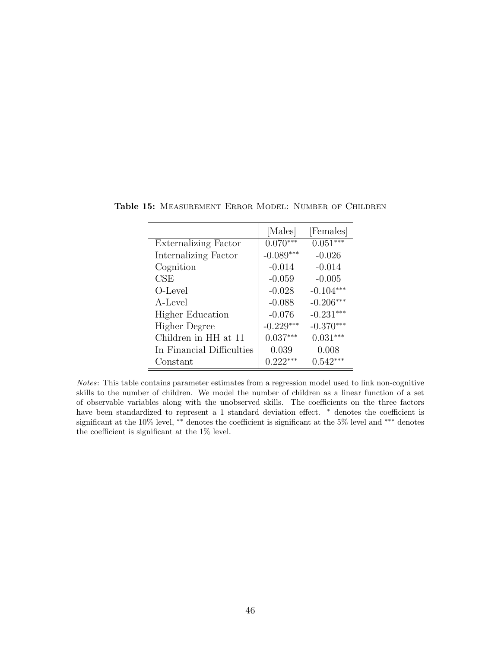|                           | [Males]     | [Females]   |
|---------------------------|-------------|-------------|
| Externalizing Factor      | $0.070***$  | $0.051***$  |
| Internalizing Factor      | $-0.089***$ | $-0.026$    |
| Cognition                 | $-0.014$    | $-0.014$    |
| CSE                       | $-0.059$    | $-0.005$    |
| O-Level                   | $-0.028$    | $-0.104***$ |
| A-Level                   | $-0.088$    | $-0.206***$ |
| <b>Higher Education</b>   | $-0.076$    | $-0.231***$ |
| <b>Higher Degree</b>      | $-0.229***$ | $-0.370***$ |
| Children in HH at 11      | $0.037***$  | $0.031***$  |
| In Financial Difficulties | 0.039       | 0.008       |
| Constant                  | $0.222***$  | $0.542***$  |

<span id="page-48-0"></span>Table 15: MEASUREMENT ERROR MODEL: NUMBER OF CHILDREN

Notes: This table contains parameter estimates from a regression model used to link non-cognitive skills to the number of children. We model the number of children as a linear function of a set of observable variables along with the unobserved skills. The coefficients on the three factors have been standardized to represent a 1 standard deviation effect. <sup>∗</sup> denotes the coefficient is significant at the 10% level, \*\* denotes the coefficient is significant at the 5% level and \*\*\* denotes the coefficient is significant at the 1% level.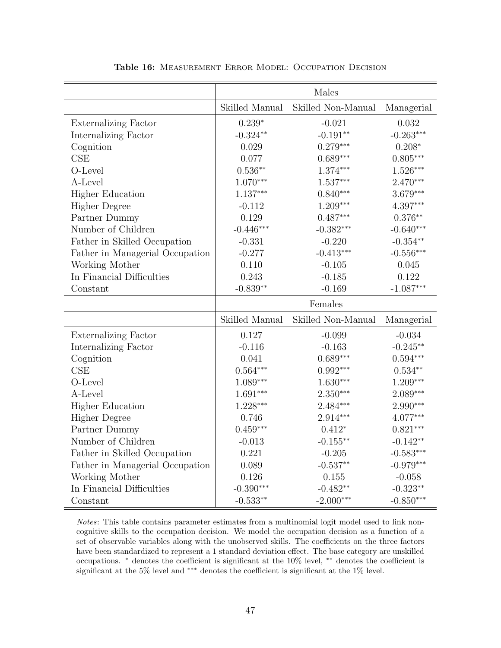<span id="page-49-0"></span>

|                                 |                | Males              |                           |
|---------------------------------|----------------|--------------------|---------------------------|
|                                 | Skilled Manual | Skilled Non-Manual | Managerial                |
| <b>Externalizing Factor</b>     | $0.239*$       | $-0.021$           | 0.032                     |
| Internalizing Factor            | $-0.324**$     | $-0.191**$         | $-0.263***$               |
| Cognition                       | 0.029          | $0.279***$         | $0.208*$                  |
| CSE                             | 0.077          | $0.689***$         | $0.805***$                |
| O-Level                         | $0.536**$      | $1.374***$         | $1.526***$                |
| A-Level                         | $1.070***$     | $1.537***$         | $2.470***$                |
| <b>Higher Education</b>         | $1.137***$     | $0.840***$         | 3.679***                  |
| <b>Higher Degree</b>            | $-0.112$       | $1.209***$         | $4.397***$                |
| Partner Dummy                   | 0.129          | $0.487***$         | $0.376^{\ast\ast}$        |
| Number of Children              | $-0.446***$    | $-0.382***$        | $-0.640***$               |
| Father in Skilled Occupation    | $-0.331$       | $-0.220$           | $-0.354**$                |
| Father in Managerial Occupation | $-0.277$       | $-0.413***$        | $-0.556***$               |
| Working Mother                  | 0.110          | $-0.105$           | 0.045                     |
| In Financial Difficulties       | 0.243          | $-0.185$           | 0.122                     |
| Constant                        | $-0.839**$     | $-0.169$           | $-1.087***$               |
|                                 |                |                    |                           |
|                                 |                | Females            |                           |
|                                 | Skilled Manual | Skilled Non-Manual | Managerial                |
| <b>Externalizing Factor</b>     | 0.127          | $-0.099$           | $-0.034$                  |
| Internalizing Factor            | $-0.116$       | $-0.163$           | $-0.245**$                |
| Cognition                       | 0.041          | $0.689***$         | $0.594***$                |
| CSE                             | $0.564***$     | $0.992***$         | $0.534**$                 |
| O-Level                         | $1.089***$     | $1.630***$         | $1.209***$                |
| A-Level                         | $1.691***$     | $2.350***$         | 2.089***                  |
| <b>Higher Education</b>         | $1.228***$     | $2.484***$         | $2.990***$                |
| <b>Higher Degree</b>            | 0.746          | 2.914***           | 4.077***                  |
| Partner Dummy                   | $0.459***$     | $0.412*$           | $0.821***$                |
| Number of Children              | $-0.013$       | $-0.155**$         | $-0.142**$                |
| Father in Skilled Occupation    | 0.221          | $-0.205$           | $-0.583***$               |
| Father in Managerial Occupation | 0.089          | $-0.537**$         | $-0.979***$               |
| Working Mother                  | 0.126          | 0.155              | $-0.058$                  |
| In Financial Difficulties       | $-0.390***$    | $-0.482**$         | $-0.323**$<br>$-0.850***$ |

Table 16: MEASUREMENT ERROR MODEL: OCCUPATION DECISION

Notes: This table contains parameter estimates from a multinomial logit model used to link noncognitive skills to the occupation decision. We model the occupation decision as a function of a set of observable variables along with the unobserved skills. The coefficients on the three factors have been standardized to represent a 1 standard deviation effect. The base category are unskilled occupations. <sup>∗</sup> denotes the coefficient is significant at the 10% level, ∗∗ denotes the coefficient is significant at the 5% level and  $***$  denotes the coefficient is significant at the 1% level.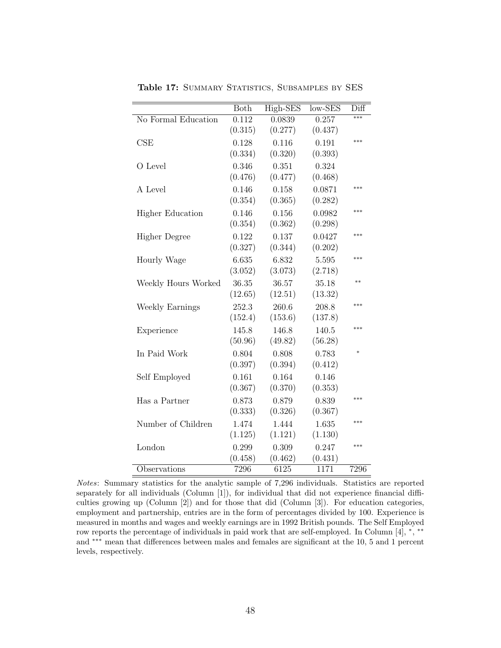<span id="page-50-0"></span>

|                         | Both    | High-SES | $low-SES$ | $_{\rm Diff}$ |
|-------------------------|---------|----------|-----------|---------------|
| No Formal Education     | 0.112   | 0.0839   | 0.257     | ***           |
|                         | (0.315) | (0.277)  | (0.437)   |               |
| CSE                     | 0.128   | 0.116    | 0.191     | ***           |
|                         | (0.334) | (0.320)  | (0.393)   |               |
| O Level                 | 0.346   | 0.351    | 0.324     |               |
|                         | (0.476) | (0.477)  | (0.468)   |               |
| A Level                 | 0.146   | 0.158    | 0.0871    | ***           |
|                         | (0.354) | (0.365)  | (0.282)   |               |
| <b>Higher Education</b> | 0.146   | 0.156    | 0.0982    | $* * *$       |
|                         | (0.354) | (0.362)  | (0.298)   |               |
| <b>Higher Degree</b>    | 0.122   | 0.137    | 0.0427    | ***           |
|                         | (0.327) | (0.344)  | (0.202)   |               |
| Hourly Wage             | 6.635   | 6.832    | 5.595     | ***           |
|                         | (3.052) | (3.073)  | (2.718)   |               |
| Weekly Hours Worked     | 36.35   | 36.57    | 35.18     | **            |
|                         | (12.65) | (12.51)  | (13.32)   |               |
| Weekly Earnings         | 252.3   | 260.6    | 208.8     | ***           |
|                         | (152.4) | (153.6)  | (137.8)   |               |
| Experience              | 145.8   | 146.8    | 140.5     | ***           |
|                         | (50.96) | (49.82)  | (56.28)   |               |
| In Paid Work            | 0.804   | 0.808    | 0.783     | $\ast$        |
|                         | (0.397) | (0.394)  | (0.412)   |               |
| Self Employed           | 0.161   | 0.164    | 0.146     |               |
|                         | (0.367) | (0.370)  | (0.353)   |               |
| Has a Partner           | 0.873   | 0.879    | 0.839     | ***           |
|                         | (0.333) | (0.326)  | (0.367)   |               |
| Number of Children      | 1.474   | 1.444    | 1.635     | $***$         |
|                         | (1.125) | (1.121)  | (1.130)   |               |
| London                  | 0.299   | 0.309    | 0.247     | ***           |
|                         | (0.458) | (0.462)  | (0.431)   |               |
| Observations            | 7296    | 6125     | 1171      | 7296          |

Table 17: SUMMARY STATISTICS, SUBSAMPLES BY SES

Notes: Summary statistics for the analytic sample of 7,296 individuals. Statistics are reported separately for all individuals (Column [1]), for individual that did not experience financial difficulties growing up (Column [2]) and for those that did (Column [3]). For education categories, employment and partnership, entries are in the form of percentages divided by 100. Experience is measured in months and wages and weekly earnings are in 1992 British pounds. The Self Employed row reports the percentage of individuals in paid work that are self-employed. In Column [4], \*, \*\* and ∗∗∗ mean that differences between males and females are significant at the 10, 5 and 1 percent levels, respectively.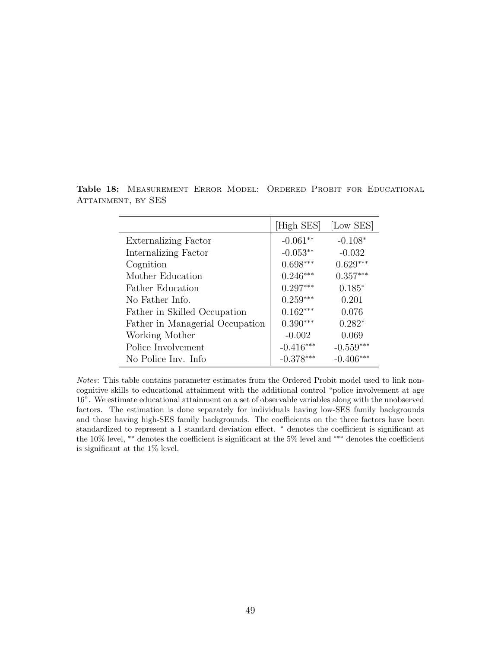|                                 | [High SES]  | [Low SES]   |
|---------------------------------|-------------|-------------|
| <b>Externalizing Factor</b>     | $-0.061**$  | $-0.108*$   |
| Internalizing Factor            | $-0.053**$  | $-0.032$    |
| Cognition                       | $0.698***$  | $0.629***$  |
| Mother Education                | $0.246***$  | $0.357***$  |
| <b>Father Education</b>         | $0.297***$  | $0.185*$    |
| No Father Info.                 | $0.259***$  | 0.201       |
| Father in Skilled Occupation    | $0.162***$  | 0.076       |
| Father in Managerial Occupation | $0.390***$  | $0.282*$    |
| Working Mother                  | $-0.002$    | 0.069       |
| Police Involvement              | $-0.416***$ | $-0.559***$ |
| No Police Inv. Info             | $-0.378***$ | $-0.406***$ |

<span id="page-51-0"></span>Table 18: MEASUREMENT ERROR MODEL: ORDERED PROBIT FOR EDUCATIONAL ATTAINMENT, BY SES

Notes: This table contains parameter estimates from the Ordered Probit model used to link noncognitive skills to educational attainment with the additional control "police involvement at age 16". We estimate educational attainment on a set of observable variables along with the unobserved factors. The estimation is done separately for individuals having low-SES family backgrounds and those having high-SES family backgrounds. The coefficients on the three factors have been standardized to represent a 1 standard deviation effect. <sup>∗</sup> denotes the coefficient is significant at the 10% level, ∗∗ denotes the coefficient is significant at the 5% level and ∗∗∗ denotes the coefficient is significant at the 1% level.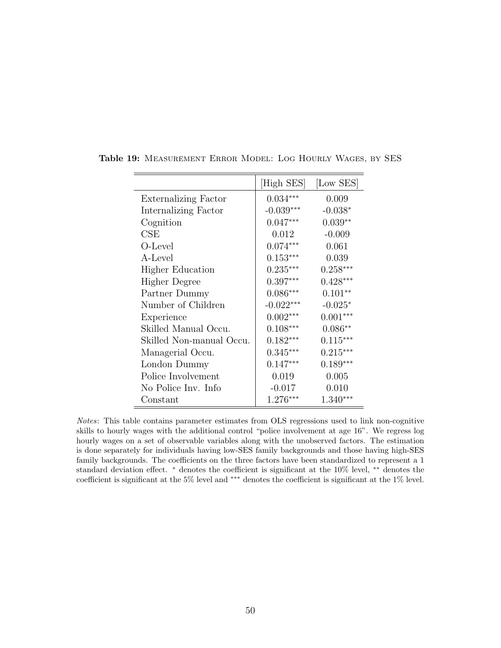|                             | High SES    | [Low SES]  |
|-----------------------------|-------------|------------|
| <b>Externalizing Factor</b> | $0.034***$  | 0.009      |
| Internalizing Factor        | $-0.039***$ | $-0.038*$  |
| Cognition                   | $0.047***$  | $0.039**$  |
| CSE                         | 0.012       | $-0.009$   |
| O-Level                     | $0.074***$  | 0.061      |
| A-Level                     | $0.153***$  | 0.039      |
| <b>Higher Education</b>     | $0.235***$  | $0.258***$ |
| Higher Degree               | $0.397***$  | $0.428***$ |
| Partner Dummy               | $0.086***$  | $0.101**$  |
| Number of Children          | $-0.022***$ | $-0.025*$  |
| Experience                  | $0.002***$  | $0.001***$ |
| Skilled Manual Occu.        | $0.108***$  | $0.086**$  |
| Skilled Non-manual Occu.    | $0.182***$  | $0.115***$ |
| Managerial Occu.            | $0.345***$  | $0.215***$ |
| London Dummy                | $0.147***$  | $0.189***$ |
| Police Involvement          | 0.019       | 0.005      |
| No Police Inv. Info         | $-0.017$    | 0.010      |
| Constant                    | $1.276***$  | $1.340***$ |

Table 19: Measurement Error Model: Log Hourly Wages, by SES

Notes: This table contains parameter estimates from OLS regressions used to link non-cognitive skills to hourly wages with the additional control "police involvement at age 16". We regress log hourly wages on a set of observable variables along with the unobserved factors. The estimation is done separately for individuals having low-SES family backgrounds and those having high-SES family backgrounds. The coefficients on the three factors have been standardized to represent a 1 standard deviation effect. <sup>∗</sup> denotes the coefficient is significant at the 10% level, ∗∗ denotes the coefficient is significant at the 5% level and ∗∗∗ denotes the coefficient is significant at the 1% level.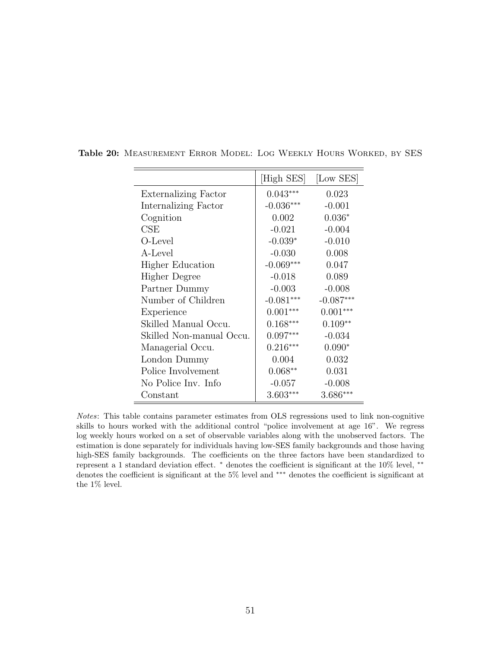|                             | [High SES]  | [Low SES]   |
|-----------------------------|-------------|-------------|
| <b>Externalizing Factor</b> | $0.043***$  | 0.023       |
| Internalizing Factor        | $-0.036***$ | $-0.001$    |
| Cognition                   | 0.002       | $0.036*$    |
| CSE                         | $-0.021$    | $-0.004$    |
| O-Level                     | $-0.039*$   | $-0.010$    |
| A-Level                     | $-0.030$    | 0.008       |
| <b>Higher Education</b>     | $-0.069***$ | 0.047       |
| <b>Higher Degree</b>        | $-0.018$    | 0.089       |
| Partner Dummy               | $-0.003$    | $-0.008$    |
| Number of Children          | $-0.081***$ | $-0.087***$ |
| Experience                  | $0.001***$  | $0.001***$  |
| Skilled Manual Occu.        | $0.168***$  | $0.109**$   |
| Skilled Non-manual Occu.    | $0.097***$  | $-0.034$    |
| Managerial Occu.            | $0.216***$  | $0.090*$    |
| London Dummy                | 0.004       | 0.032       |
| Police Involvement          | $0.068**$   | 0.031       |
| No Police Inv. Info         | $-0.057$    | $-0.008$    |
| Constant                    | $3.603***$  | $3.686***$  |

Table 20: Measurement Error Model: Log Weekly Hours Worked, by SES

 $\overline{\phantom{a}}$ 

 $\equiv$ 

Notes: This table contains parameter estimates from OLS regressions used to link non-cognitive skills to hours worked with the additional control "police involvement at age 16". We regress log weekly hours worked on a set of observable variables along with the unobserved factors. The estimation is done separately for individuals having low-SES family backgrounds and those having high-SES family backgrounds. The coefficients on the three factors have been standardized to represent a 1 standard deviation effect. <sup>∗</sup> denotes the coefficient is significant at the 10% level, ∗∗ denotes the coefficient is significant at the 5% level and ∗∗∗ denotes the coefficient is significant at the  $1\%$  level.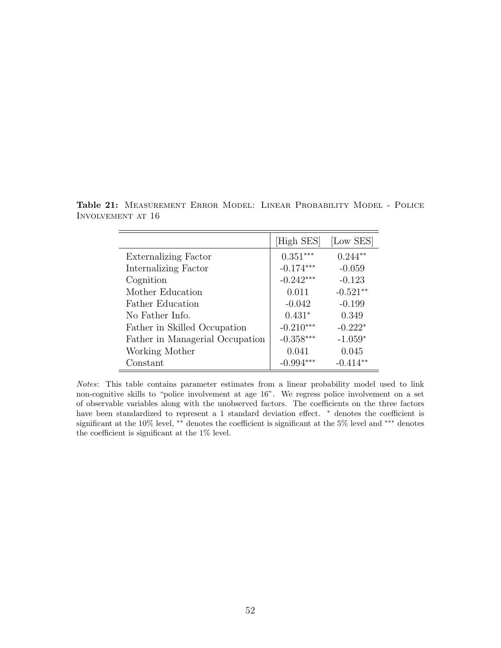|                                 | [High SES]  | [Low SES]  |
|---------------------------------|-------------|------------|
| <b>Externalizing Factor</b>     | $0.351***$  | $0.244**$  |
| Internalizing Factor            | $-0.174***$ | $-0.059$   |
| Cognition                       | $-0.242***$ | $-0.123$   |
| Mother Education                | 0.011       | $-0.521**$ |
| Father Education                | $-0.042$    | $-0.199$   |
| No Father Info.                 | $0.431*$    | 0.349      |
| Father in Skilled Occupation    | $-0.210***$ | $-0.222*$  |
| Father in Managerial Occupation | $-0.358***$ | $-1.059*$  |
| Working Mother                  | 0.041       | 0.045      |
| Constant                        | $-0.994***$ | $-0.414**$ |

<span id="page-54-0"></span>Table 21: MEASUREMENT ERROR MODEL: LINEAR PROBABILITY MODEL - POLICE Involvement at 16

Notes: This table contains parameter estimates from a linear probability model used to link non-cognitive skills to "police involvement at age 16". We regress police involvement on a set of observable variables along with the unobserved factors. The coefficients on the three factors have been standardized to represent a 1 standard deviation effect. <sup>∗</sup> denotes the coefficient is significant at the 10% level, <sup>∗∗</sup> denotes the coefficient is significant at the 5% level and <sup>∗∗∗</sup> denotes the coefficient is significant at the 1% level.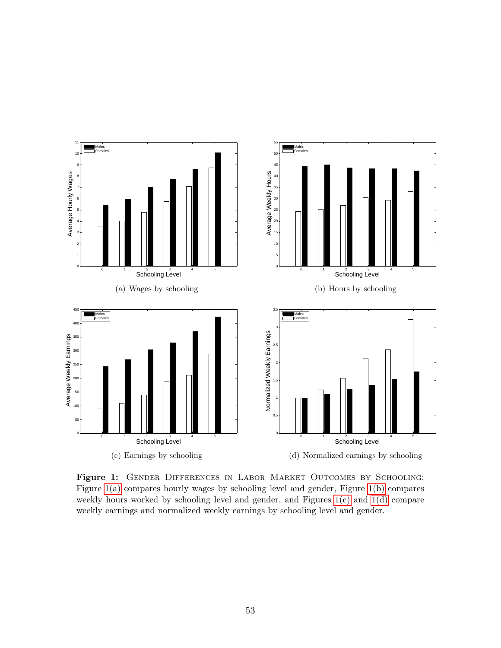<span id="page-55-3"></span><span id="page-55-2"></span><span id="page-55-0"></span>

<span id="page-55-4"></span><span id="page-55-1"></span>Figure 1: GENDER DIFFERENCES IN LABOR MARKET OUTCOMES BY SCHOOLING: Figure [1\(a\)](#page-55-2) compares hourly wages by schooling level and gender, Figure [1\(b\)](#page-55-3) compares weekly hours worked by schooling level and gender, and Figures [1\(c\)](#page-55-4) and [1\(d\)](#page-55-1) compare weekly earnings and normalized weekly earnings by schooling level and gender.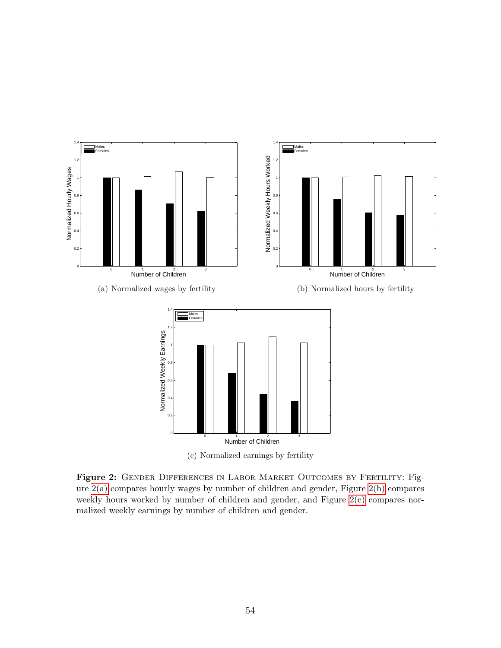<span id="page-56-1"></span><span id="page-56-0"></span>

<span id="page-56-3"></span><span id="page-56-2"></span>(c) Normalized earnings by fertility

Figure 2: GENDER DIFFERENCES IN LABOR MARKET OUTCOMES BY FERTILITY: Figure [2\(a\)](#page-56-1) compares hourly wages by number of children and gender, Figure [2\(b\)](#page-56-2) compares weekly hours worked by number of children and gender, and Figure  $2(c)$  compares normalized weekly earnings by number of children and gender.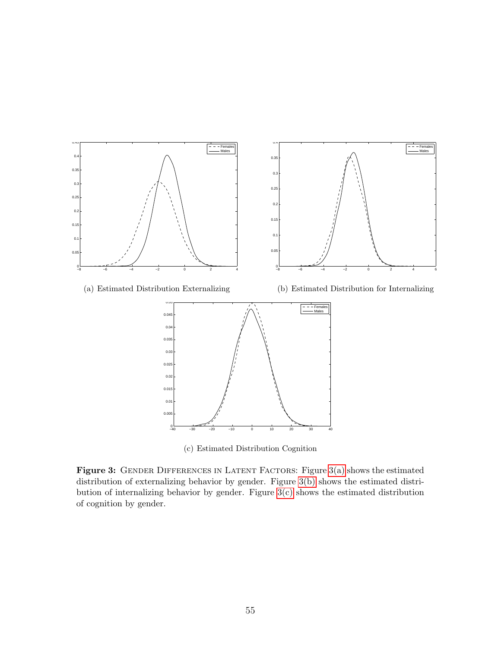<span id="page-57-1"></span><span id="page-57-0"></span>

<span id="page-57-3"></span><span id="page-57-2"></span>(c) Estimated Distribution Cognition

Figure 3: GENDER DIFFERENCES IN LATENT FACTORS: Figure [3\(a\)](#page-57-1) shows the estimated distribution of externalizing behavior by gender. Figure [3\(b\)](#page-57-2) shows the estimated distribution of internalizing behavior by gender. Figure [3\(c\)](#page-57-3) shows the estimated distribution of cognition by gender.